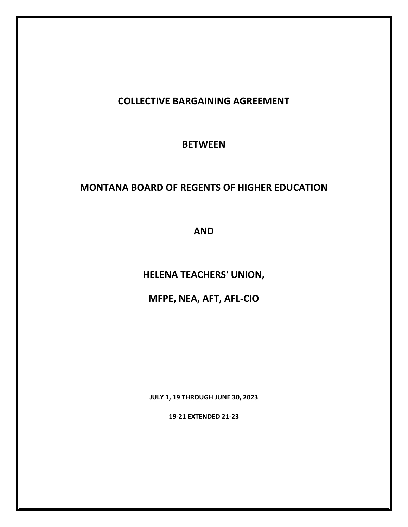# **COLLECTIVE BARGAINING AGREEMENT**

**BETWEEN**

# **MONTANA BOARD OF REGENTS OF HIGHER EDUCATION**

**AND**

**HELENA TEACHERS' UNION,**

**MFPE, NEA, AFT, AFL-CIO**

**JULY 1, 19 THROUGH JUNE 30, 2023**

**19-21 EXTENDED 21-23**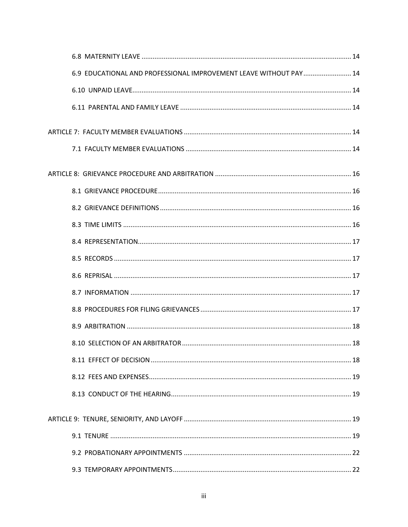| 6.9 EDUCATIONAL AND PROFESSIONAL IMPROVEMENT LEAVE WITHOUT PAY  14 |
|--------------------------------------------------------------------|
|                                                                    |
|                                                                    |
|                                                                    |
|                                                                    |
|                                                                    |
|                                                                    |
|                                                                    |
|                                                                    |
|                                                                    |
|                                                                    |
|                                                                    |
|                                                                    |
|                                                                    |
|                                                                    |
|                                                                    |
|                                                                    |
|                                                                    |
|                                                                    |
|                                                                    |
|                                                                    |
|                                                                    |
|                                                                    |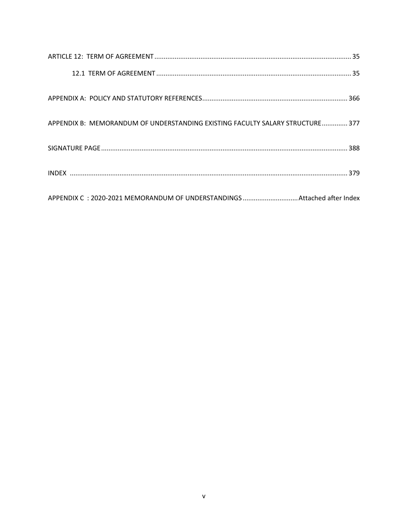| APPENDIX B: MEMORANDUM OF UNDERSTANDING EXISTING FACULTY SALARY STRUCTURE 377 |
|-------------------------------------------------------------------------------|
|                                                                               |
|                                                                               |
| APPENDIX C : 2020-2021 MEMORANDUM OF UNDERSTANDINGS Attached after Index      |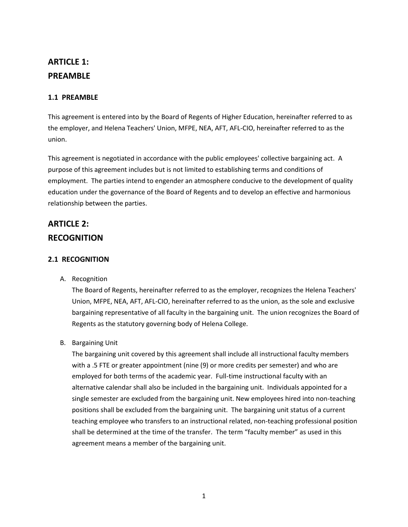# <span id="page-6-0"></span>**ARTICLE 1: PREAMBLE**

## <span id="page-6-1"></span>**1.1 PREAMBLE**

This agreement is entered into by the Board of Regents of Higher Education, hereinafter referred to as the employer, and Helena Teachers' Union, MFPE, NEA, AFT, AFL-CIO, hereinafter referred to as the union.

This agreement is negotiated in accordance with the public employees' collective bargaining act. A purpose of this agreement includes but is not limited to establishing terms and conditions of employment. The parties intend to engender an atmosphere conducive to the development of quality education under the governance of the Board of Regents and to develop an effective and harmonious relationship between the parties.

# <span id="page-6-2"></span>**ARTICLE 2: RECOGNITION**

## <span id="page-6-3"></span>**2.1 RECOGNITION**

A. Recognition

The Board of Regents, hereinafter referred to as the employer, recognizes the Helena Teachers' Union, MFPE, NEA, AFT, AFL-CIO, hereinafter referred to as the union, as the sole and exclusive bargaining representative of all faculty in the bargaining unit. The union recognizes the Board of Regents as the statutory governing body of Helena College.

B. Bargaining Unit

<span id="page-6-4"></span>The bargaining unit covered by this agreement shall include all instructional faculty members with a .5 FTE or greater appointment (nine (9) or more credits per semester) and who are employed for both terms of the academic year. Full-time instructional faculty with an alternative calendar shall also be included in the bargaining unit. Individuals appointed for a single semester are excluded from the bargaining unit. New employees hired into non-teaching positions shall be excluded from the bargaining unit. The bargaining unit status of a current teaching employee who transfers to an instructional related, non-teaching professional position shall be determined at the time of the transfer. The term "faculty member" as used in this agreement means a member of the bargaining unit.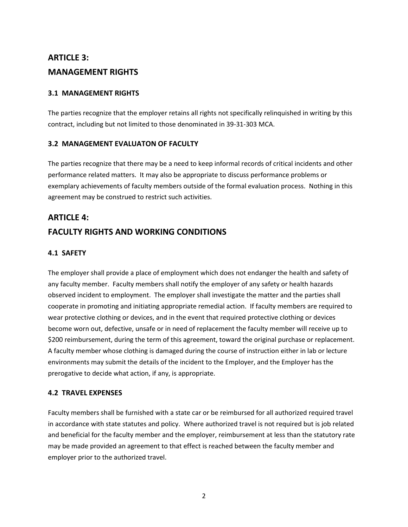# **ARTICLE 3: MANAGEMENT RIGHTS**

## <span id="page-7-0"></span>**3.1 MANAGEMENT RIGHTS**

The parties recognize that the employer retains all rights not specifically relinquished in writing by this contract, including but not limited to those denominated in 39-31-303 MCA.

### <span id="page-7-1"></span>**3.2 MANAGEMENT EVALUATON OF FACULTY**

The parties recognize that there may be a need to keep informal records of critical incidents and other performance related matters. It may also be appropriate to discuss performance problems or exemplary achievements of faculty members outside of the formal evaluation process. Nothing in this agreement may be construed to restrict such activities.

# <span id="page-7-2"></span>**ARTICLE 4: FACULTY RIGHTS AND WORKING CONDITIONS**

## <span id="page-7-3"></span>**4.1 SAFETY**

The employer shall provide a place of employment which does not endanger the health and safety of any faculty member. Faculty members shall notify the employer of any safety or health hazards observed incident to employment. The employer shall investigate the matter and the parties shall cooperate in promoting and initiating appropriate remedial action. If faculty members are required to wear protective clothing or devices, and in the event that required protective clothing or devices become worn out, defective, unsafe or in need of replacement the faculty member will receive up to \$200 reimbursement, during the term of this agreement, toward the original purchase or replacement. A faculty member whose clothing is damaged during the course of instruction either in lab or lecture environments may submit the details of the incident to the Employer, and the Employer has the prerogative to decide what action, if any, is appropriate.

## <span id="page-7-4"></span>**4.2 TRAVEL EXPENSES**

<span id="page-7-5"></span>Faculty members shall be furnished with a state car or be reimbursed for all authorized required travel in accordance with state statutes and policy. Where authorized travel is not required but is job related and beneficial for the faculty member and the employer, reimbursement at less than the statutory rate may be made provided an agreement to that effect is reached between the faculty member and employer prior to the authorized travel.

2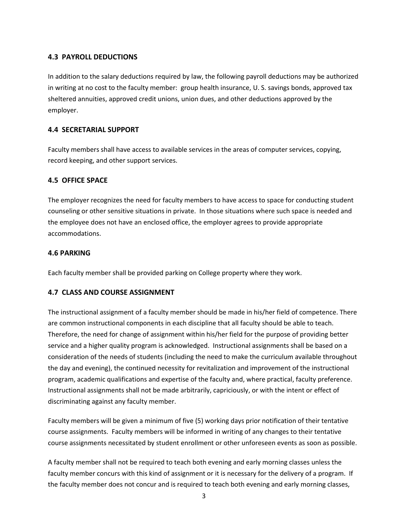## **4.3 PAYROLL DEDUCTIONS**

In addition to the salary deductions required by law, the following payroll deductions may be authorized in writing at no cost to the faculty member: group health insurance, U. S. savings bonds, approved tax sheltered annuities, approved credit unions, union dues, and other deductions approved by the employer.

## <span id="page-8-0"></span>**4.4 SECRETARIAL SUPPORT**

Faculty members shall have access to available services in the areas of computer services, copying, record keeping, and other support services.

## <span id="page-8-1"></span>**4.5 OFFICE SPACE**

The employer recognizes the need for faculty members to have access to space for conducting student counseling or other sensitive situations in private. In those situations where such space is needed and the employee does not have an enclosed office, the employer agrees to provide appropriate accommodations.

## <span id="page-8-2"></span>**4.6 PARKING**

Each faculty member shall be provided parking on College property where they work.

## <span id="page-8-3"></span>**4.7 CLASS AND COURSE ASSIGNMENT**

The instructional assignment of a faculty member should be made in his/her field of competence. There are common instructional components in each discipline that all faculty should be able to teach. Therefore, the need for change of assignment within his/her field for the purpose of providing better service and a higher quality program is acknowledged. Instructional assignments shall be based on a consideration of the needs of students (including the need to make the curriculum available throughout the day and evening), the continued necessity for revitalization and improvement of the instructional program, academic qualifications and expertise of the faculty and, where practical, faculty preference. Instructional assignments shall not be made arbitrarily, capriciously, or with the intent or effect of discriminating against any faculty member.

Faculty members will be given a minimum of five (5) working days prior notification of their tentative course assignments. Faculty members will be informed in writing of any changes to their tentative course assignments necessitated by student enrollment or other unforeseen events as soon as possible.

A faculty member shall not be required to teach both evening and early morning classes unless the faculty member concurs with this kind of assignment or it is necessary for the delivery of a program. If the faculty member does not concur and is required to teach both evening and early morning classes,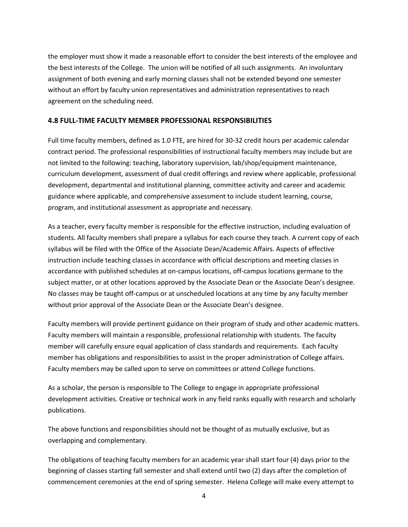the employer must show it made a reasonable effort to consider the best interests of the employee and the best interests of the College. The union will be notified of all such assignments. An involuntary assignment of both evening and early morning classes shall not be extended beyond one semester without an effort by faculty union representatives and administration representatives to reach agreement on the scheduling need.

### <span id="page-9-0"></span>**4.8 FULL-TIME FACULTY MEMBER PROFESSIONAL RESPONSIBILITIES**

Full time faculty members, defined as 1.0 FTE, are hired for 30-32 credit hours per academic calendar contract period. The professional responsibilities of instructional faculty members may include but are not limited to the following: teaching, laboratory supervision, lab/shop/equipment maintenance, curriculum development, assessment of dual credit offerings and review where applicable, professional development, departmental and institutional planning, committee activity and career and academic guidance where applicable, and comprehensive assessment to include student learning, course, program, and institutional assessment as appropriate and necessary.

As a teacher, every faculty member is responsible for the effective instruction, including evaluation of students. All faculty members shall prepare a syllabus for each course they teach. A current copy of each syllabus will be filed with the Office of the Associate Dean/Academic Affairs. Aspects of effective instruction include teaching classes in accordance with official descriptions and meeting classes in accordance with published schedules at on-campus locations, off-campus locations germane to the subject matter, or at other locations approved by the Associate Dean or the Associate Dean's designee. No classes may be taught off-campus or at unscheduled locations at any time by any faculty member without prior approval of the Associate Dean or the Associate Dean's designee.

Faculty members will provide pertinent guidance on their program of study and other academic matters. Faculty members will maintain a responsible, professional relationship with students. The faculty member will carefully ensure equal application of class standards and requirements. Each faculty member has obligations and responsibilities to assist in the proper administration of College affairs. Faculty members may be called upon to serve on committees or attend College functions.

As a scholar, the person is responsible to The College to engage in appropriate professional development activities. Creative or technical work in any field ranks equally with research and scholarly publications.

The above functions and responsibilities should not be thought of as mutually exclusive, but as overlapping and complementary.

<span id="page-9-1"></span>The obligations of teaching faculty members for an academic year shall start four (4) days prior to the beginning of classes starting fall semester and shall extend until two (2) days after the completion of commencement ceremonies at the end of spring semester. Helena College will make every attempt to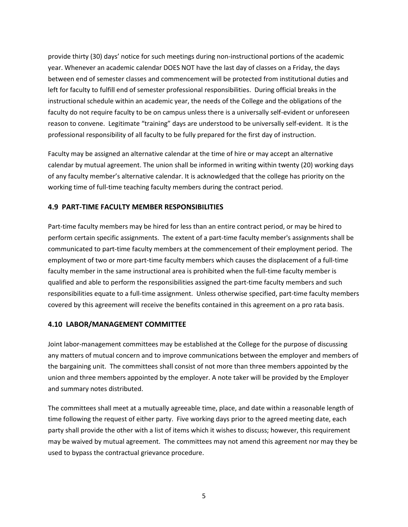provide thirty (30) days' notice for such meetings during non-instructional portions of the academic year. Whenever an academic calendar DOES NOT have the last day of classes on a Friday, the days between end of semester classes and commencement will be protected from institutional duties and left for faculty to fulfill end of semester professional responsibilities. During official breaks in the instructional schedule within an academic year, the needs of the College and the obligations of the faculty do not require faculty to be on campus unless there is a universally self-evident or unforeseen reason to convene. Legitimate "training" days are understood to be universally self-evident. It is the professional responsibility of all faculty to be fully prepared for the first day of instruction.

Faculty may be assigned an alternative calendar at the time of hire or may accept an alternative calendar by mutual agreement. The union shall be informed in writing within twenty (20) working days of any faculty member's alternative calendar. It is acknowledged that the college has priority on the working time of full-time teaching faculty members during the contract period.

## **4.9 PART-TIME FACULTY MEMBER RESPONSIBILITIES**

Part-time faculty members may be hired for less than an entire contract period, or may be hired to perform certain specific assignments. The extent of a part-time faculty member's assignments shall be communicated to part-time faculty members at the commencement of their employment period. The employment of two or more part-time faculty members which causes the displacement of a full-time faculty member in the same instructional area is prohibited when the full-time faculty member is qualified and able to perform the responsibilities assigned the part-time faculty members and such responsibilities equate to a full-time assignment. Unless otherwise specified, part-time faculty members covered by this agreement will receive the benefits contained in this agreement on a pro rata basis.

### <span id="page-10-0"></span>**4.10 LABOR/MANAGEMENT COMMITTEE**

Joint labor-management committees may be established at the College for the purpose of discussing any matters of mutual concern and to improve communications between the employer and members of the bargaining unit. The committees shall consist of not more than three members appointed by the union and three members appointed by the employer. A note taker will be provided by the Employer and summary notes distributed.

<span id="page-10-1"></span>The committees shall meet at a mutually agreeable time, place, and date within a reasonable length of time following the request of either party. Five working days prior to the agreed meeting date, each party shall provide the other with a list of items which it wishes to discuss; however, this requirement may be waived by mutual agreement. The committees may not amend this agreement nor may they be used to bypass the contractual grievance procedure.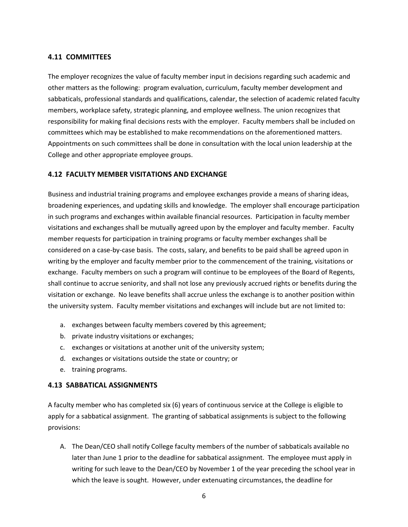## **4.11 COMMITTEES**

The employer recognizes the value of faculty member input in decisions regarding such academic and other matters as the following: program evaluation, curriculum, faculty member development and sabbaticals, professional standards and qualifications, calendar, the selection of academic related faculty members, workplace safety, strategic planning, and employee wellness. The union recognizes that responsibility for making final decisions rests with the employer. Faculty members shall be included on committees which may be established to make recommendations on the aforementioned matters. Appointments on such committees shall be done in consultation with the local union leadership at the College and other appropriate employee groups.

## <span id="page-11-0"></span>**4.12 FACULTY MEMBER VISITATIONS AND EXCHANGE**

Business and industrial training programs and employee exchanges provide a means of sharing ideas, broadening experiences, and updating skills and knowledge. The employer shall encourage participation in such programs and exchanges within available financial resources. Participation in faculty member visitations and exchanges shall be mutually agreed upon by the employer and faculty member. Faculty member requests for participation in training programs or faculty member exchanges shall be considered on a case-by-case basis. The costs, salary, and benefits to be paid shall be agreed upon in writing by the employer and faculty member prior to the commencement of the training, visitations or exchange. Faculty members on such a program will continue to be employees of the Board of Regents, shall continue to accrue seniority, and shall not lose any previously accrued rights or benefits during the visitation or exchange. No leave benefits shall accrue unless the exchange is to another position within the university system. Faculty member visitations and exchanges will include but are not limited to:

- a. exchanges between faculty members covered by this agreement;
- b. private industry visitations or exchanges;
- c. exchanges or visitations at another unit of the university system;
- d. exchanges or visitations outside the state or country; or
- e. training programs.

### <span id="page-11-1"></span>**4.13 SABBATICAL ASSIGNMENTS**

A faculty member who has completed six (6) years of continuous service at the College is eligible to apply for a sabbatical assignment. The granting of sabbatical assignments is subject to the following provisions:

A. The Dean/CEO shall notify College faculty members of the number of sabbaticals available no later than June 1 prior to the deadline for sabbatical assignment. The employee must apply in writing for such leave to the Dean/CEO by November 1 of the year preceding the school year in which the leave is sought. However, under extenuating circumstances, the deadline for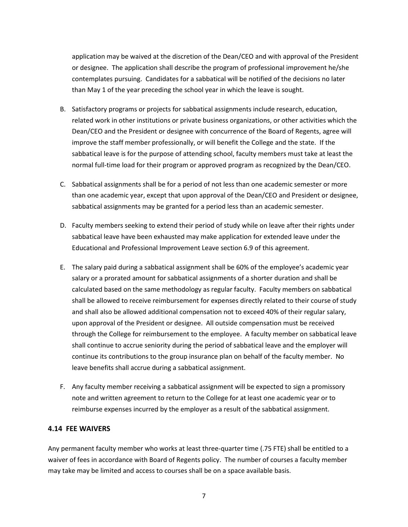application may be waived at the discretion of the Dean/CEO and with approval of the President or designee. The application shall describe the program of professional improvement he/she contemplates pursuing. Candidates for a sabbatical will be notified of the decisions no later than May 1 of the year preceding the school year in which the leave is sought.

- B. Satisfactory programs or projects for sabbatical assignments include research, education, related work in other institutions or private business organizations, or other activities which the Dean/CEO and the President or designee with concurrence of the Board of Regents, agree will improve the staff member professionally, or will benefit the College and the state. If the sabbatical leave is for the purpose of attending school, faculty members must take at least the normal full-time load for their program or approved program as recognized by the Dean/CEO.
- C. Sabbatical assignments shall be for a period of not less than one academic semester or more than one academic year, except that upon approval of the Dean/CEO and President or designee, sabbatical assignments may be granted for a period less than an academic semester.
- D. Faculty members seeking to extend their period of study while on leave after their rights under sabbatical leave have been exhausted may make application for extended leave under the Educational and Professional Improvement Leave section 6.9 of this agreement.
- E. The salary paid during a sabbatical assignment shall be 60% of the employee's academic year salary or a prorated amount for sabbatical assignments of a shorter duration and shall be calculated based on the same methodology as regular faculty. Faculty members on sabbatical shall be allowed to receive reimbursement for expenses directly related to their course of study and shall also be allowed additional compensation not to exceed 40% of their regular salary, upon approval of the President or designee. All outside compensation must be received through the College for reimbursement to the employee. A faculty member on sabbatical leave shall continue to accrue seniority during the period of sabbatical leave and the employer will continue its contributions to the group insurance plan on behalf of the faculty member. No leave benefits shall accrue during a sabbatical assignment.
- F. Any faculty member receiving a sabbatical assignment will be expected to sign a promissory note and written agreement to return to the College for at least one academic year or to reimburse expenses incurred by the employer as a result of the sabbatical assignment.

### <span id="page-12-0"></span>**4.14 FEE WAIVERS**

Any permanent faculty member who works at least three-quarter time (.75 FTE) shall be entitled to a waiver of fees in accordance with Board of Regents policy. The number of courses a faculty member may take may be limited and access to courses shall be on a space available basis.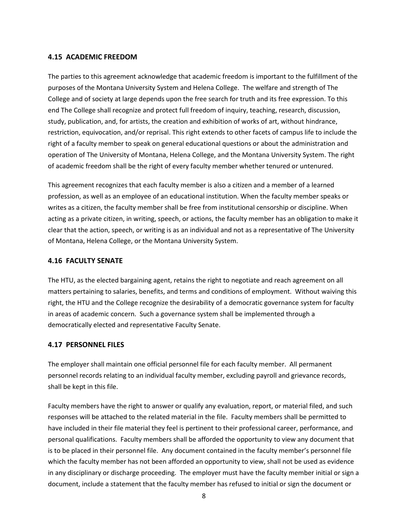### <span id="page-13-0"></span>**4.15 ACADEMIC FREEDOM**

The parties to this agreement acknowledge that academic freedom is important to the fulfillment of the purposes of the Montana University System and Helena College. The welfare and strength of The College and of society at large depends upon the free search for truth and its free expression. To this end The College shall recognize and protect full freedom of inquiry, teaching, research, discussion, study, publication, and, for artists, the creation and exhibition of works of art, without hindrance, restriction, equivocation, and/or reprisal. This right extends to other facets of campus life to include the right of a faculty member to speak on general educational questions or about the administration and operation of The University of Montana, Helena College, and the Montana University System. The right of academic freedom shall be the right of every faculty member whether tenured or untenured.

This agreement recognizes that each faculty member is also a citizen and a member of a learned profession, as well as an employee of an educational institution. When the faculty member speaks or writes as a citizen, the faculty member shall be free from institutional censorship or discipline. When acting as a private citizen, in writing, speech, or actions, the faculty member has an obligation to make it clear that the action, speech, or writing is as an individual and not as a representative of The University of Montana, Helena College, or the Montana University System.

## <span id="page-13-1"></span>**4.16 FACULTY SENATE**

The HTU, as the elected bargaining agent, retains the right to negotiate and reach agreement on all matters pertaining to salaries, benefits, and terms and conditions of employment. Without waiving this right, the HTU and the College recognize the desirability of a democratic governance system for faculty in areas of academic concern. Such a governance system shall be implemented through a democratically elected and representative Faculty Senate.

### <span id="page-13-2"></span>**4.17 PERSONNEL FILES**

The employer shall maintain one official personnel file for each faculty member. All permanent personnel records relating to an individual faculty member, excluding payroll and grievance records, shall be kept in this file.

Faculty members have the right to answer or qualify any evaluation, report, or material filed, and such responses will be attached to the related material in the file. Faculty members shall be permitted to have included in their file material they feel is pertinent to their professional career, performance, and personal qualifications. Faculty members shall be afforded the opportunity to view any document that is to be placed in their personnel file. Any document contained in the faculty member's personnel file which the faculty member has not been afforded an opportunity to view, shall not be used as evidence in any disciplinary or discharge proceeding. The employer must have the faculty member initial or sign a document, include a statement that the faculty member has refused to initial or sign the document or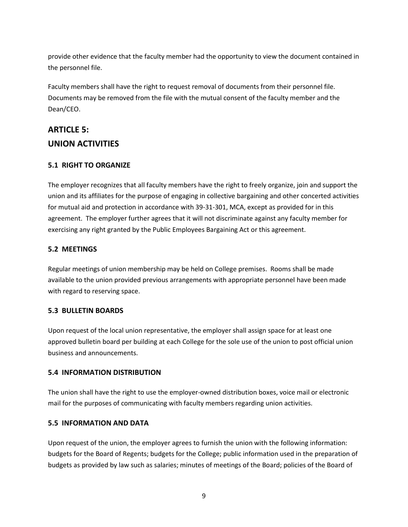provide other evidence that the faculty member had the opportunity to view the document contained in the personnel file.

Faculty members shall have the right to request removal of documents from their personnel file. Documents may be removed from the file with the mutual consent of the faculty member and the Dean/CEO.

# <span id="page-14-0"></span>**ARTICLE 5: UNION ACTIVITIES**

## <span id="page-14-1"></span>**5.1 RIGHT TO ORGANIZE**

The employer recognizes that all faculty members have the right to freely organize, join and support the union and its affiliates for the purpose of engaging in collective bargaining and other concerted activities for mutual aid and protection in accordance with 39-31-301, MCA, except as provided for in this agreement. The employer further agrees that it will not discriminate against any faculty member for exercising any right granted by the Public Employees Bargaining Act or this agreement.

## <span id="page-14-2"></span>**5.2 MEETINGS**

Regular meetings of union membership may be held on College premises. Rooms shall be made available to the union provided previous arrangements with appropriate personnel have been made with regard to reserving space.

## <span id="page-14-3"></span>**5.3 BULLETIN BOARDS**

Upon request of the local union representative, the employer shall assign space for at least one approved bulletin board per building at each College for the sole use of the union to post official union business and announcements.

## <span id="page-14-4"></span>**5.4 INFORMATION DISTRIBUTION**

The union shall have the right to use the employer-owned distribution boxes, voice mail or electronic mail for the purposes of communicating with faculty members regarding union activities.

## <span id="page-14-5"></span>**5.5 INFORMATION AND DATA**

Upon request of the union, the employer agrees to furnish the union with the following information: budgets for the Board of Regents; budgets for the College; public information used in the preparation of budgets as provided by law such as salaries; minutes of meetings of the Board; policies of the Board of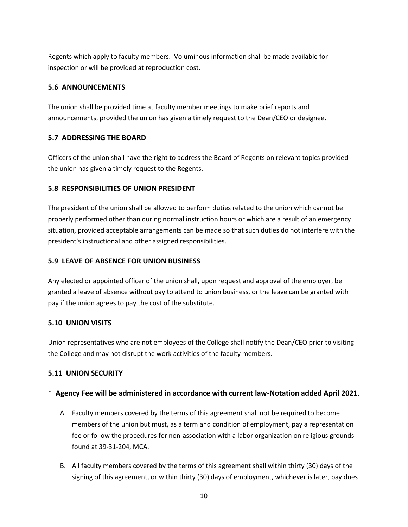Regents which apply to faculty members. Voluminous information shall be made available for inspection or will be provided at reproduction cost.

## <span id="page-15-0"></span>**5.6 ANNOUNCEMENTS**

The union shall be provided time at faculty member meetings to make brief reports and announcements, provided the union has given a timely request to the Dean/CEO or designee.

## <span id="page-15-1"></span>**5.7 ADDRESSING THE BOARD**

Officers of the union shall have the right to address the Board of Regents on relevant topics provided the union has given a timely request to the Regents.

## <span id="page-15-2"></span>**5.8 RESPONSIBILITIES OF UNION PRESIDENT**

The president of the union shall be allowed to perform duties related to the union which cannot be properly performed other than during normal instruction hours or which are a result of an emergency situation, provided acceptable arrangements can be made so that such duties do not interfere with the president's instructional and other assigned responsibilities.

## <span id="page-15-3"></span>**5.9 LEAVE OF ABSENCE FOR UNION BUSINESS**

Any elected or appointed officer of the union shall, upon request and approval of the employer, be granted a leave of absence without pay to attend to union business, or the leave can be granted with pay if the union agrees to pay the cost of the substitute.

## <span id="page-15-4"></span>**5.10 UNION VISITS**

Union representatives who are not employees of the College shall notify the Dean/CEO prior to visiting the College and may not disrupt the work activities of the faculty members.

## <span id="page-15-5"></span>**5.11 UNION SECURITY**

## \* **Agency Fee will be administered in accordance with current law-Notation added April 2021**.

- A. Faculty members covered by the terms of this agreement shall not be required to become members of the union but must, as a term and condition of employment, pay a representation fee or follow the procedures for non-association with a labor organization on religious grounds found at 39-31-204, MCA.
- B. All faculty members covered by the terms of this agreement shall within thirty (30) days of the signing of this agreement, or within thirty (30) days of employment, whichever is later, pay dues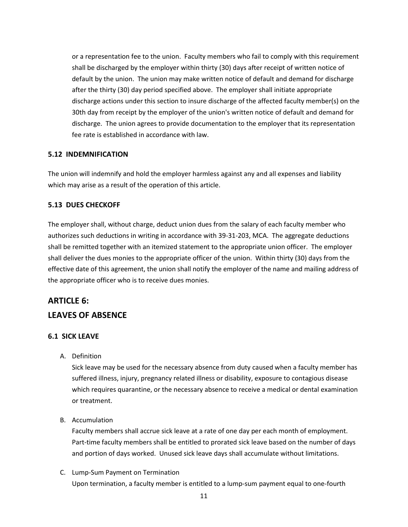or a representation fee to the union. Faculty members who fail to comply with this requirement shall be discharged by the employer within thirty (30) days after receipt of written notice of default by the union. The union may make written notice of default and demand for discharge after the thirty (30) day period specified above. The employer shall initiate appropriate discharge actions under this section to insure discharge of the affected faculty member(s) on the 30th day from receipt by the employer of the union's written notice of default and demand for discharge. The union agrees to provide documentation to the employer that its representation fee rate is established in accordance with law.

## <span id="page-16-0"></span>**5.12 INDEMNIFICATION**

The union will indemnify and hold the employer harmless against any and all expenses and liability which may arise as a result of the operation of this article.

## <span id="page-16-1"></span>**5.13 DUES CHECKOFF**

The employer shall, without charge, deduct union dues from the salary of each faculty member who authorizes such deductions in writing in accordance with 39-31-203, MCA. The aggregate deductions shall be remitted together with an itemized statement to the appropriate union officer. The employer shall deliver the dues monies to the appropriate officer of the union. Within thirty (30) days from the effective date of this agreement, the union shall notify the employer of the name and mailing address of the appropriate officer who is to receive dues monies.

## <span id="page-16-2"></span>**ARTICLE 6: LEAVES OF ABSENCE**

## <span id="page-16-3"></span>**6.1 SICK LEAVE**

A. Definition

Sick leave may be used for the necessary absence from duty caused when a faculty member has suffered illness, injury, pregnancy related illness or disability, exposure to contagious disease which requires quarantine, or the necessary absence to receive a medical or dental examination or treatment.

B. Accumulation

Faculty members shall accrue sick leave at a rate of one day per each month of employment. Part-time faculty members shall be entitled to prorated sick leave based on the number of days and portion of days worked. Unused sick leave days shall accumulate without limitations.

C. Lump-Sum Payment on Termination Upon termination, a faculty member is entitled to a lump-sum payment equal to one-fourth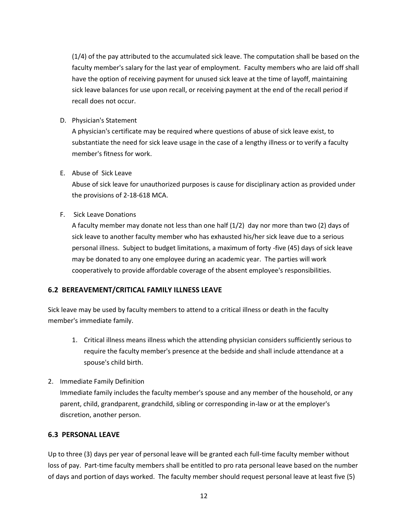(1/4) of the pay attributed to the accumulated sick leave. The computation shall be based on the faculty member's salary for the last year of employment. Faculty members who are laid off shall have the option of receiving payment for unused sick leave at the time of layoff, maintaining sick leave balances for use upon recall, or receiving payment at the end of the recall period if recall does not occur.

D. Physician's Statement

A physician's certificate may be required where questions of abuse of sick leave exist, to substantiate the need for sick leave usage in the case of a lengthy illness or to verify a faculty member's fitness for work.

E. Abuse of Sick Leave

Abuse of sick leave for unauthorized purposes is cause for disciplinary action as provided under the provisions of 2-18-618 MCA.

F. Sick Leave Donations

A faculty member may donate not less than one half (1/2) day nor more than two (2) days of sick leave to another faculty member who has exhausted his/her sick leave due to a serious personal illness. Subject to budget limitations, a maximum of forty -five (45) days of sick leave may be donated to any one employee during an academic year. The parties will work cooperatively to provide affordable coverage of the absent employee's responsibilities.

## <span id="page-17-0"></span>**6.2 BEREAVEMENT/CRITICAL FAMILY ILLNESS LEAVE**

Sick leave may be used by faculty members to attend to a critical illness or death in the faculty member's immediate family.

- 1. Critical illness means illness which the attending physician considers sufficiently serious to require the faculty member's presence at the bedside and shall include attendance at a spouse's child birth.
- 2. Immediate Family Definition

Immediate family includes the faculty member's spouse and any member of the household, or any parent, child, grandparent, grandchild, sibling or corresponding in-law or at the employer's discretion, another person.

### <span id="page-17-1"></span>**6.3 PERSONAL LEAVE**

Up to three (3) days per year of personal leave will be granted each full-time faculty member without loss of pay. Part-time faculty members shall be entitled to pro rata personal leave based on the number of days and portion of days worked. The faculty member should request personal leave at least five (5)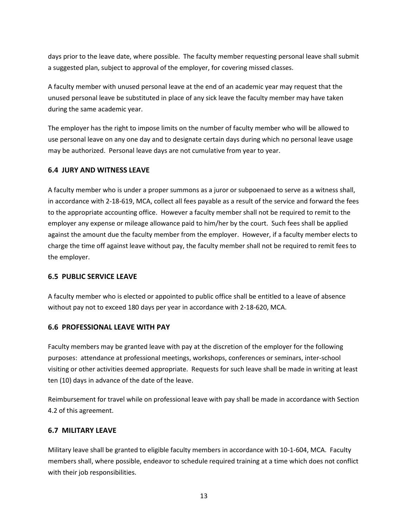days prior to the leave date, where possible. The faculty member requesting personal leave shall submit a suggested plan, subject to approval of the employer, for covering missed classes.

A faculty member with unused personal leave at the end of an academic year may request that the unused personal leave be substituted in place of any sick leave the faculty member may have taken during the same academic year.

The employer has the right to impose limits on the number of faculty member who will be allowed to use personal leave on any one day and to designate certain days during which no personal leave usage may be authorized. Personal leave days are not cumulative from year to year.

## <span id="page-18-0"></span>**6.4 JURY AND WITNESS LEAVE**

A faculty member who is under a proper summons as a juror or subpoenaed to serve as a witness shall, in accordance with 2-18-619, MCA, collect all fees payable as a result of the service and forward the fees to the appropriate accounting office. However a faculty member shall not be required to remit to the employer any expense or mileage allowance paid to him/her by the court. Such fees shall be applied against the amount due the faculty member from the employer. However, if a faculty member elects to charge the time off against leave without pay, the faculty member shall not be required to remit fees to the employer.

### <span id="page-18-1"></span>**6.5 PUBLIC SERVICE LEAVE**

A faculty member who is elected or appointed to public office shall be entitled to a leave of absence without pay not to exceed 180 days per year in accordance with 2-18-620, MCA.

### <span id="page-18-2"></span>**6.6 PROFESSIONAL LEAVE WITH PAY**

Faculty members may be granted leave with pay at the discretion of the employer for the following purposes: attendance at professional meetings, workshops, conferences or seminars, inter-school visiting or other activities deemed appropriate. Requests for such leave shall be made in writing at least ten (10) days in advance of the date of the leave.

Reimbursement for travel while on professional leave with pay shall be made in accordance with Section 4.2 of this agreement.

## <span id="page-18-3"></span>**6.7 MILITARY LEAVE**

Military leave shall be granted to eligible faculty members in accordance with 10-1-604, MCA. Faculty members shall, where possible, endeavor to schedule required training at a time which does not conflict with their job responsibilities.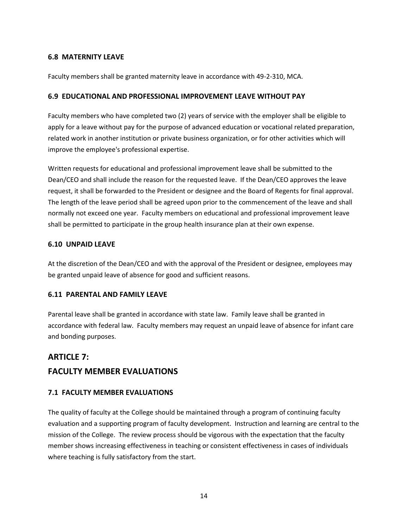## <span id="page-19-0"></span>**6.8 MATERNITY LEAVE**

Faculty members shall be granted maternity leave in accordance with 49-2-310, MCA.

## <span id="page-19-1"></span>**6.9 EDUCATIONAL AND PROFESSIONAL IMPROVEMENT LEAVE WITHOUT PAY**

Faculty members who have completed two (2) years of service with the employer shall be eligible to apply for a leave without pay for the purpose of advanced education or vocational related preparation, related work in another institution or private business organization, or for other activities which will improve the employee's professional expertise.

Written requests for educational and professional improvement leave shall be submitted to the Dean/CEO and shall include the reason for the requested leave. If the Dean/CEO approves the leave request, it shall be forwarded to the President or designee and the Board of Regents for final approval. The length of the leave period shall be agreed upon prior to the commencement of the leave and shall normally not exceed one year. Faculty members on educational and professional improvement leave shall be permitted to participate in the group health insurance plan at their own expense.

## <span id="page-19-2"></span>**6.10 UNPAID LEAVE**

At the discretion of the Dean/CEO and with the approval of the President or designee, employees may be granted unpaid leave of absence for good and sufficient reasons.

## <span id="page-19-3"></span>**6.11 PARENTAL AND FAMILY LEAVE**

Parental leave shall be granted in accordance with state law. Family leave shall be granted in accordance with federal law. Faculty members may request an unpaid leave of absence for infant care and bonding purposes.

# <span id="page-19-4"></span>**ARTICLE 7: FACULTY MEMBER EVALUATIONS**

## <span id="page-19-5"></span>**7.1 FACULTY MEMBER EVALUATIONS**

The quality of faculty at the College should be maintained through a program of continuing faculty evaluation and a supporting program of faculty development. Instruction and learning are central to the mission of the College. The review process should be vigorous with the expectation that the faculty member shows increasing effectiveness in teaching or consistent effectiveness in cases of individuals where teaching is fully satisfactory from the start.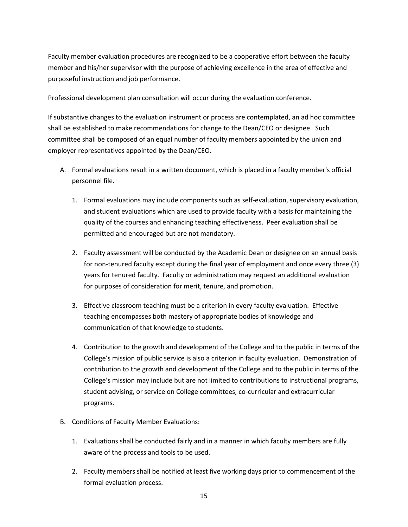Faculty member evaluation procedures are recognized to be a cooperative effort between the faculty member and his/her supervisor with the purpose of achieving excellence in the area of effective and purposeful instruction and job performance.

Professional development plan consultation will occur during the evaluation conference.

If substantive changes to the evaluation instrument or process are contemplated, an ad hoc committee shall be established to make recommendations for change to the Dean/CEO or designee. Such committee shall be composed of an equal number of faculty members appointed by the union and employer representatives appointed by the Dean/CEO.

- A. Formal evaluations result in a written document, which is placed in a faculty member's official personnel file.
	- 1. Formal evaluations may include components such as self-evaluation, supervisory evaluation, and student evaluations which are used to provide faculty with a basis for maintaining the quality of the courses and enhancing teaching effectiveness. Peer evaluation shall be permitted and encouraged but are not mandatory.
	- 2. Faculty assessment will be conducted by the Academic Dean or designee on an annual basis for non-tenured faculty except during the final year of employment and once every three (3) years for tenured faculty. Faculty or administration may request an additional evaluation for purposes of consideration for merit, tenure, and promotion.
	- 3. Effective classroom teaching must be a criterion in every faculty evaluation. Effective teaching encompasses both mastery of appropriate bodies of knowledge and communication of that knowledge to students.
	- 4. Contribution to the growth and development of the College and to the public in terms of the College's mission of public service is also a criterion in faculty evaluation. Demonstration of contribution to the growth and development of the College and to the public in terms of the College's mission may include but are not limited to contributions to instructional programs, student advising, or service on College committees, co-curricular and extracurricular programs.
- B. Conditions of Faculty Member Evaluations:
	- 1. Evaluations shall be conducted fairly and in a manner in which faculty members are fully aware of the process and tools to be used.
	- 2. Faculty members shall be notified at least five working days prior to commencement of the formal evaluation process.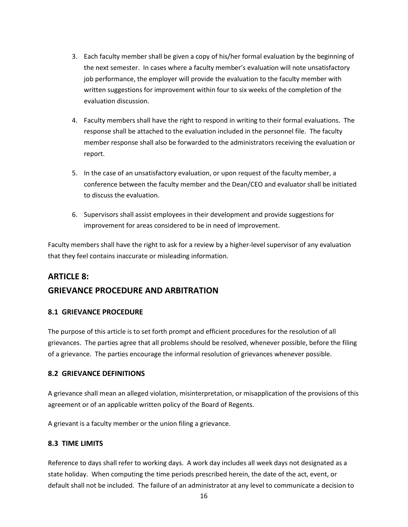- 3. Each faculty member shall be given a copy of his/her formal evaluation by the beginning of the next semester. In cases where a faculty member's evaluation will note unsatisfactory job performance, the employer will provide the evaluation to the faculty member with written suggestions for improvement within four to six weeks of the completion of the evaluation discussion.
- 4. Faculty members shall have the right to respond in writing to their formal evaluations. The response shall be attached to the evaluation included in the personnel file. The faculty member response shall also be forwarded to the administrators receiving the evaluation or report.
- 5. In the case of an unsatisfactory evaluation, or upon request of the faculty member, a conference between the faculty member and the Dean/CEO and evaluator shall be initiated to discuss the evaluation.
- 6. Supervisors shall assist employees in their development and provide suggestions for improvement for areas considered to be in need of improvement.

Faculty members shall have the right to ask for a review by a higher-level supervisor of any evaluation that they feel contains inaccurate or misleading information.

## <span id="page-21-0"></span>**ARTICLE 8:**

## **GRIEVANCE PROCEDURE AND ARBITRATION**

## <span id="page-21-1"></span>**8.1 GRIEVANCE PROCEDURE**

The purpose of this article is to set forth prompt and efficient procedures for the resolution of all grievances. The parties agree that all problems should be resolved, whenever possible, before the filing of a grievance. The parties encourage the informal resolution of grievances whenever possible.

## <span id="page-21-2"></span>**8.2 GRIEVANCE DEFINITIONS**

A grievance shall mean an alleged violation, misinterpretation, or misapplication of the provisions of this agreement or of an applicable written policy of the Board of Regents.

A grievant is a faculty member or the union filing a grievance.

## <span id="page-21-3"></span>**8.3 TIME LIMITS**

Reference to days shall refer to working days. A work day includes all week days not designated as a state holiday. When computing the time periods prescribed herein, the date of the act, event, or default shall not be included. The failure of an administrator at any level to communicate a decision to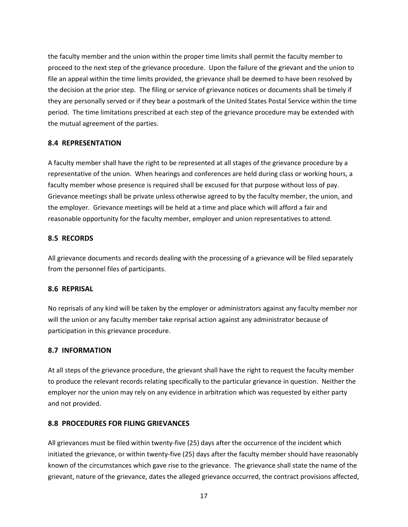the faculty member and the union within the proper time limits shall permit the faculty member to proceed to the next step of the grievance procedure. Upon the failure of the grievant and the union to file an appeal within the time limits provided, the grievance shall be deemed to have been resolved by the decision at the prior step. The filing or service of grievance notices or documents shall be timely if they are personally served or if they bear a postmark of the United States Postal Service within the time period. The time limitations prescribed at each step of the grievance procedure may be extended with the mutual agreement of the parties.

## <span id="page-22-0"></span>**8.4 REPRESENTATION**

A faculty member shall have the right to be represented at all stages of the grievance procedure by a representative of the union. When hearings and conferences are held during class or working hours, a faculty member whose presence is required shall be excused for that purpose without loss of pay. Grievance meetings shall be private unless otherwise agreed to by the faculty member, the union, and the employer. Grievance meetings will be held at a time and place which will afford a fair and reasonable opportunity for the faculty member, employer and union representatives to attend.

### <span id="page-22-1"></span>**8.5 RECORDS**

All grievance documents and records dealing with the processing of a grievance will be filed separately from the personnel files of participants.

### <span id="page-22-2"></span>**8.6 REPRISAL**

No reprisals of any kind will be taken by the employer or administrators against any faculty member nor will the union or any faculty member take reprisal action against any administrator because of participation in this grievance procedure.

### <span id="page-22-3"></span>**8.7 INFORMATION**

At all steps of the grievance procedure, the grievant shall have the right to request the faculty member to produce the relevant records relating specifically to the particular grievance in question. Neither the employer nor the union may rely on any evidence in arbitration which was requested by either party and not provided.

## <span id="page-22-4"></span>**8.8 PROCEDURES FOR FILING GRIEVANCES**

All grievances must be filed within twenty-five (25) days after the occurrence of the incident which initiated the grievance, or within twenty-five (25) days after the faculty member should have reasonably known of the circumstances which gave rise to the grievance. The grievance shall state the name of the grievant, nature of the grievance, dates the alleged grievance occurred, the contract provisions affected,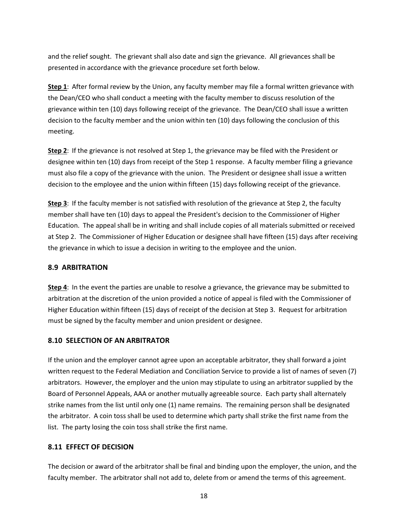and the relief sought. The grievant shall also date and sign the grievance. All grievances shall be presented in accordance with the grievance procedure set forth below.

**Step 1**: After formal review by the Union, any faculty member may file a formal written grievance with the Dean/CEO who shall conduct a meeting with the faculty member to discuss resolution of the grievance within ten (10) days following receipt of the grievance. The Dean/CEO shall issue a written decision to the faculty member and the union within ten (10) days following the conclusion of this meeting.

**Step 2**: If the grievance is not resolved at Step 1, the grievance may be filed with the President or designee within ten (10) days from receipt of the Step 1 response. A faculty member filing a grievance must also file a copy of the grievance with the union. The President or designee shall issue a written decision to the employee and the union within fifteen (15) days following receipt of the grievance.

**Step 3**: If the faculty member is not satisfied with resolution of the grievance at Step 2, the faculty member shall have ten (10) days to appeal the President's decision to the Commissioner of Higher Education. The appeal shall be in writing and shall include copies of all materials submitted or received at Step 2. The Commissioner of Higher Education or designee shall have fifteen (15) days after receiving the grievance in which to issue a decision in writing to the employee and the union.

## <span id="page-23-0"></span>**8.9 ARBITRATION**

**Step 4**: In the event the parties are unable to resolve a grievance, the grievance may be submitted to arbitration at the discretion of the union provided a notice of appeal is filed with the Commissioner of Higher Education within fifteen (15) days of receipt of the decision at Step 3. Request for arbitration must be signed by the faculty member and union president or designee.

## <span id="page-23-1"></span>**8.10 SELECTION OF AN ARBITRATOR**

If the union and the employer cannot agree upon an acceptable arbitrator, they shall forward a joint written request to the Federal Mediation and Conciliation Service to provide a list of names of seven (7) arbitrators. However, the employer and the union may stipulate to using an arbitrator supplied by the Board of Personnel Appeals, AAA or another mutually agreeable source. Each party shall alternately strike names from the list until only one (1) name remains. The remaining person shall be designated the arbitrator. A coin toss shall be used to determine which party shall strike the first name from the list. The party losing the coin toss shall strike the first name.

## <span id="page-23-2"></span>**8.11 EFFECT OF DECISION**

The decision or award of the arbitrator shall be final and binding upon the employer, the union, and the faculty member. The arbitrator shall not add to, delete from or amend the terms of this agreement.

18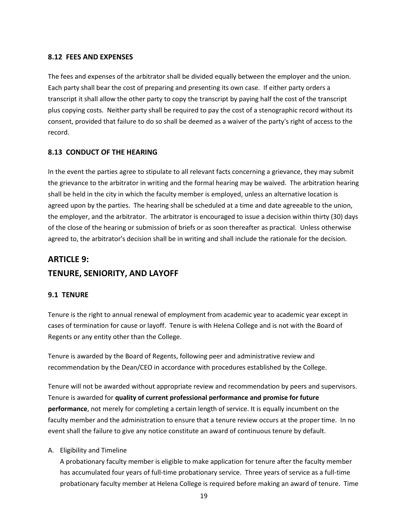## <span id="page-24-0"></span>**8.12 FEES AND EXPENSES**

The fees and expenses of the arbitrator shall be divided equally between the employer and the union. Each party shall bear the cost of preparing and presenting its own case. If either party orders a transcript it shall allow the other party to copy the transcript by paying half the cost of the transcript plus copying costs. Neither party shall be required to pay the cost of a stenographic record without its consent, provided that failure to do so shall be deemed as a waiver of the party's right of access to the record.

## <span id="page-24-1"></span>**8.13 CONDUCT OF THE HEARING**

In the event the parties agree to stipulate to all relevant facts concerning a grievance, they may submit the grievance to the arbitrator in writing and the formal hearing may be waived. The arbitration hearing shall be held in the city in which the faculty member is employed, unless an alternative location is agreed upon by the parties. The hearing shall be scheduled at a time and date agreeable to the union, the employer, and the arbitrator. The arbitrator is encouraged to issue a decision within thirty (30) days of the close of the hearing or submission of briefs or as soon thereafter as practical. Unless otherwise agreed to, the arbitrator's decision shall be in writing and shall include the rationale for the decision.

# <span id="page-24-2"></span>**ARTICLE 9: TENURE, SENIORITY, AND LAYOFF**

## <span id="page-24-3"></span>**9.1 TENURE**

Tenure is the right to annual renewal of employment from academic year to academic year except in cases of termination for cause or layoff. Tenure is with Helena College and is not with the Board of Regents or any entity other than the College.

Tenure is awarded by the Board of Regents, following peer and administrative review and recommendation by the Dean/CEO in accordance with procedures established by the College.

Tenure will not be awarded without appropriate review and recommendation by peers and supervisors. Tenure is awarded for **quality of current professional performance and promise for future performance**, not merely for completing a certain length of service. It is equally incumbent on the faculty member and the administration to ensure that a tenure review occurs at the proper time. In no event shall the failure to give any notice constitute an award of continuous tenure by default.

### A. Eligibility and Timeline

A probationary faculty member is eligible to make application for tenure after the faculty member has accumulated four years of full-time probationary service. Three years of service as a full-time probationary faculty member at Helena College is required before making an award of tenure. Time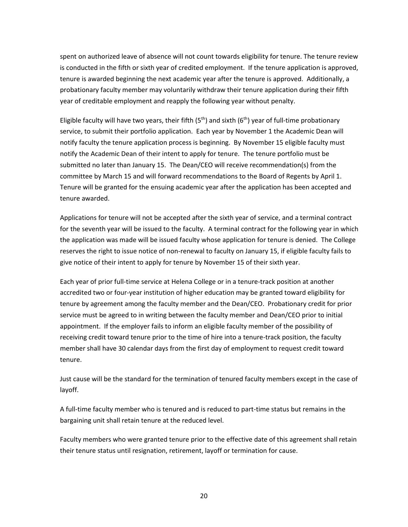spent on authorized leave of absence will not count towards eligibility for tenure. The tenure review is conducted in the fifth or sixth year of credited employment. If the tenure application is approved, tenure is awarded beginning the next academic year after the tenure is approved. Additionally, a probationary faculty member may voluntarily withdraw their tenure application during their fifth year of creditable employment and reapply the following year without penalty.

Eligible faculty will have two years, their fifth  $(5<sup>th</sup>)$  and sixth  $(6<sup>th</sup>)$  year of full-time probationary service, to submit their portfolio application. Each year by November 1 the Academic Dean will notify faculty the tenure application process is beginning. By November 15 eligible faculty must notify the Academic Dean of their intent to apply for tenure. The tenure portfolio must be submitted no later than January 15. The Dean/CEO will receive recommendation(s) from the committee by March 15 and will forward recommendations to the Board of Regents by April 1. Tenure will be granted for the ensuing academic year after the application has been accepted and tenure awarded.

Applications for tenure will not be accepted after the sixth year of service, and a terminal contract for the seventh year will be issued to the faculty. A terminal contract for the following year in which the application was made will be issued faculty whose application for tenure is denied. The College reserves the right to issue notice of non-renewal to faculty on January 15, if eligible faculty fails to give notice of their intent to apply for tenure by November 15 of their sixth year.

Each year of prior full-time service at Helena College or in a tenure-track position at another accredited two or four-year institution of higher education may be granted toward eligibility for tenure by agreement among the faculty member and the Dean/CEO. Probationary credit for prior service must be agreed to in writing between the faculty member and Dean/CEO prior to initial appointment. If the employer fails to inform an eligible faculty member of the possibility of receiving credit toward tenure prior to the time of hire into a tenure-track position, the faculty member shall have 30 calendar days from the first day of employment to request credit toward tenure.

Just cause will be the standard for the termination of tenured faculty members except in the case of layoff.

A full-time faculty member who is tenured and is reduced to part-time status but remains in the bargaining unit shall retain tenure at the reduced level.

Faculty members who were granted tenure prior to the effective date of this agreement shall retain their tenure status until resignation, retirement, layoff or termination for cause.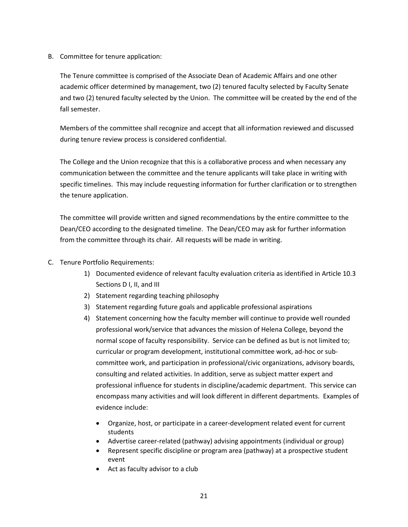B. Committee for tenure application:

The Tenure committee is comprised of the Associate Dean of Academic Affairs and one other academic officer determined by management, two (2) tenured faculty selected by Faculty Senate and two (2) tenured faculty selected by the Union. The committee will be created by the end of the fall semester.

Members of the committee shall recognize and accept that all information reviewed and discussed during tenure review process is considered confidential.

The College and the Union recognize that this is a collaborative process and when necessary any communication between the committee and the tenure applicants will take place in writing with specific timelines. This may include requesting information for further clarification or to strengthen the tenure application.

The committee will provide written and signed recommendations by the entire committee to the Dean/CEO according to the designated timeline. The Dean/CEO may ask for further information from the committee through its chair. All requests will be made in writing.

- C. Tenure Portfolio Requirements:
	- 1) Documented evidence of relevant faculty evaluation criteria as identified in Article 10.3 Sections D I, II, and III
	- 2) Statement regarding teaching philosophy
	- 3) Statement regarding future goals and applicable professional aspirations
	- 4) Statement concerning how the faculty member will continue to provide well rounded professional work/service that advances the mission of Helena College, beyond the normal scope of faculty responsibility. Service can be defined as but is not limited to; curricular or program development, institutional committee work, ad-hoc or subcommittee work, and participation in professional/civic organizations, advisory boards, consulting and related activities. In addition, serve as subject matter expert and professional influence for students in discipline/academic department. This service can encompass many activities and will look different in different departments. Examples of evidence include:
		- Organize, host, or participate in a career-development related event for current students
		- Advertise career-related (pathway) advising appointments (individual or group)
		- Represent specific discipline or program area (pathway) at a prospective student event
		- Act as faculty advisor to a club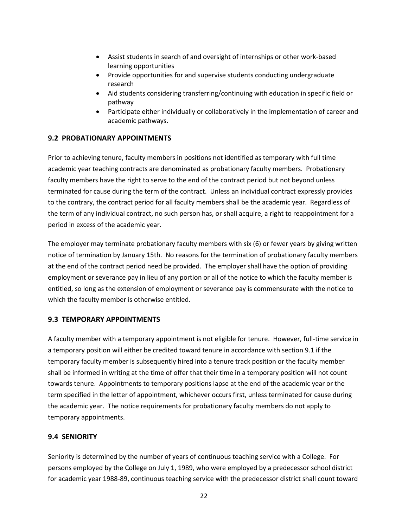- Assist students in search of and oversight of internships or other work-based learning opportunities
- Provide opportunities for and supervise students conducting undergraduate research
- Aid students considering transferring/continuing with education in specific field or pathway
- Participate either individually or collaboratively in the implementation of career and academic pathways.

## <span id="page-27-0"></span>**9.2 PROBATIONARY APPOINTMENTS**

Prior to achieving tenure, faculty members in positions not identified as temporary with full time academic year teaching contracts are denominated as probationary faculty members. Probationary faculty members have the right to serve to the end of the contract period but not beyond unless terminated for cause during the term of the contract. Unless an individual contract expressly provides to the contrary, the contract period for all faculty members shall be the academic year. Regardless of the term of any individual contract, no such person has, or shall acquire, a right to reappointment for a period in excess of the academic year.

The employer may terminate probationary faculty members with six (6) or fewer years by giving written notice of termination by January 15th. No reasons for the termination of probationary faculty members at the end of the contract period need be provided. The employer shall have the option of providing employment or severance pay in lieu of any portion or all of the notice to which the faculty member is entitled, so long as the extension of employment or severance pay is commensurate with the notice to which the faculty member is otherwise entitled.

### <span id="page-27-1"></span>**9.3 TEMPORARY APPOINTMENTS**

A faculty member with a temporary appointment is not eligible for tenure. However, full-time service in a temporary position will either be credited toward tenure in accordance with section 9.1 if the temporary faculty member is subsequently hired into a tenure track position or the faculty member shall be informed in writing at the time of offer that their time in a temporary position will not count towards tenure. Appointments to temporary positions lapse at the end of the academic year or the term specified in the letter of appointment, whichever occurs first, unless terminated for cause during the academic year. The notice requirements for probationary faculty members do not apply to temporary appointments.

## <span id="page-27-2"></span>**9.4 SENIORITY**

Seniority is determined by the number of years of continuous teaching service with a College. For persons employed by the College on July 1, 1989, who were employed by a predecessor school district for academic year 1988-89, continuous teaching service with the predecessor district shall count toward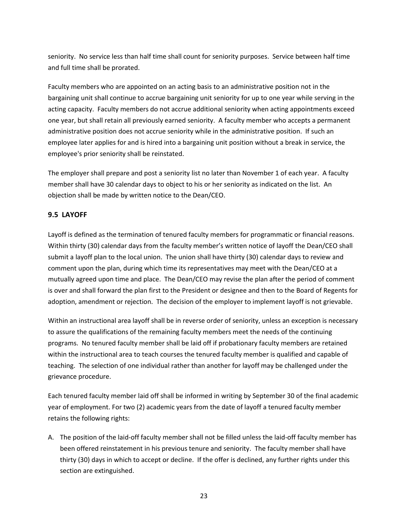seniority. No service less than half time shall count for seniority purposes. Service between half time and full time shall be prorated.

Faculty members who are appointed on an acting basis to an administrative position not in the bargaining unit shall continue to accrue bargaining unit seniority for up to one year while serving in the acting capacity. Faculty members do not accrue additional seniority when acting appointments exceed one year, but shall retain all previously earned seniority. A faculty member who accepts a permanent administrative position does not accrue seniority while in the administrative position. If such an employee later applies for and is hired into a bargaining unit position without a break in service, the employee's prior seniority shall be reinstated.

The employer shall prepare and post a seniority list no later than November 1 of each year. A faculty member shall have 30 calendar days to object to his or her seniority as indicated on the list. An objection shall be made by written notice to the Dean/CEO.

## <span id="page-28-0"></span>**9.5 LAYOFF**

Layoff is defined as the termination of tenured faculty members for programmatic or financial reasons. Within thirty (30) calendar days from the faculty member's written notice of layoff the Dean/CEO shall submit a layoff plan to the local union. The union shall have thirty (30) calendar days to review and comment upon the plan, during which time its representatives may meet with the Dean/CEO at a mutually agreed upon time and place. The Dean/CEO may revise the plan after the period of comment is over and shall forward the plan first to the President or designee and then to the Board of Regents for adoption, amendment or rejection. The decision of the employer to implement layoff is not grievable.

Within an instructional area layoff shall be in reverse order of seniority, unless an exception is necessary to assure the qualifications of the remaining faculty members meet the needs of the continuing programs. No tenured faculty member shall be laid off if probationary faculty members are retained within the instructional area to teach courses the tenured faculty member is qualified and capable of teaching. The selection of one individual rather than another for layoff may be challenged under the grievance procedure.

Each tenured faculty member laid off shall be informed in writing by September 30 of the final academic year of employment. For two (2) academic years from the date of layoff a tenured faculty member retains the following rights:

A. The position of the laid-off faculty member shall not be filled unless the laid-off faculty member has been offered reinstatement in his previous tenure and seniority. The faculty member shall have thirty (30) days in which to accept or decline. If the offer is declined, any further rights under this section are extinguished.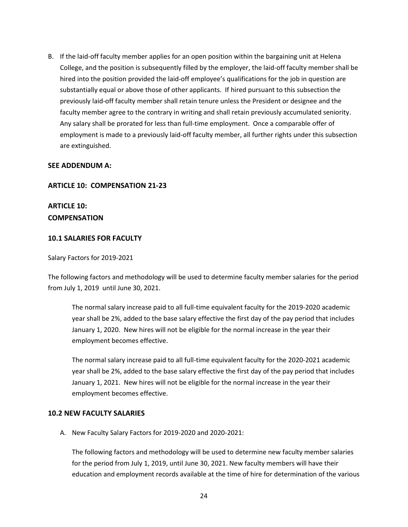B. If the laid-off faculty member applies for an open position within the bargaining unit at Helena College, and the position is subsequently filled by the employer, the laid-off faculty member shall be hired into the position provided the laid-off employee's qualifications for the job in question are substantially equal or above those of other applicants. If hired pursuant to this subsection the previously laid-off faculty member shall retain tenure unless the President or designee and the faculty member agree to the contrary in writing and shall retain previously accumulated seniority. Any salary shall be prorated for less than full-time employment. Once a comparable offer of employment is made to a previously laid-off faculty member, all further rights under this subsection are extinguished.

#### <span id="page-29-0"></span>**SEE ADDENDUM A:**

#### **ARTICLE 10: COMPENSATION 21-23**

**ARTICLE 10: COMPENSATION**

### <span id="page-29-1"></span>**10.1 SALARIES FOR FACULTY**

Salary Factors for 2019-2021

The following factors and methodology will be used to determine faculty member salaries for the period from July 1, 2019 until June 30, 2021.

The normal salary increase paid to all full-time equivalent faculty for the 2019-2020 academic year shall be 2%, added to the base salary effective the first day of the pay period that includes January 1, 2020. New hires will not be eligible for the normal increase in the year their employment becomes effective.

The normal salary increase paid to all full-time equivalent faculty for the 2020-2021 academic year shall be 2%, added to the base salary effective the first day of the pay period that includes January 1, 2021. New hires will not be eligible for the normal increase in the year their employment becomes effective.

#### <span id="page-29-2"></span>**10.2 NEW FACULTY SALARIES**

A. New Faculty Salary Factors for 2019-2020 and 2020-2021:

The following factors and methodology will be used to determine new faculty member salaries for the period from July 1, 2019, until June 30, 2021. New faculty members will have their education and employment records available at the time of hire for determination of the various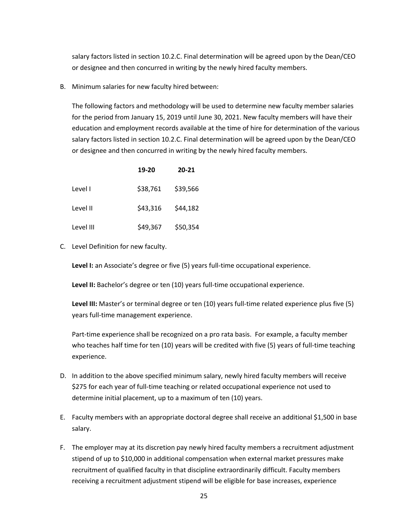salary factors listed in section 10.2.C. Final determination will be agreed upon by the Dean/CEO or designee and then concurred in writing by the newly hired faculty members.

B. Minimum salaries for new faculty hired between:

The following factors and methodology will be used to determine new faculty member salaries for the period from January 15, 2019 until June 30, 2021. New faculty members will have their education and employment records available at the time of hire for determination of the various salary factors listed in section 10.2.C. Final determination will be agreed upon by the Dean/CEO or designee and then concurred in writing by the newly hired faculty members.

|           | 19-20    | $20 - 21$ |
|-----------|----------|-----------|
| Level I   | \$38,761 | \$39,566  |
| Level II  | \$43,316 | \$44,182  |
| Level III | \$49,367 | \$50,354  |

C. Level Definition for new faculty.

Level I: an Associate's degree or five (5) years full-time occupational experience.

**Level II:** Bachelor's degree or ten (10) years full-time occupational experience.

**Level III:** Master's or terminal degree or ten (10) years full-time related experience plus five (5) years full-time management experience.

Part-time experience shall be recognized on a pro rata basis. For example, a faculty member who teaches half time for ten (10) years will be credited with five (5) years of full-time teaching experience.

- D. In addition to the above specified minimum salary, newly hired faculty members will receive \$275 for each year of full-time teaching or related occupational experience not used to determine initial placement, up to a maximum of ten (10) years.
- E. Faculty members with an appropriate doctoral degree shall receive an additional \$1,500 in base salary.
- F. The employer may at its discretion pay newly hired faculty members a recruitment adjustment stipend of up to \$10,000 in additional compensation when external market pressures make recruitment of qualified faculty in that discipline extraordinarily difficult. Faculty members receiving a recruitment adjustment stipend will be eligible for base increases, experience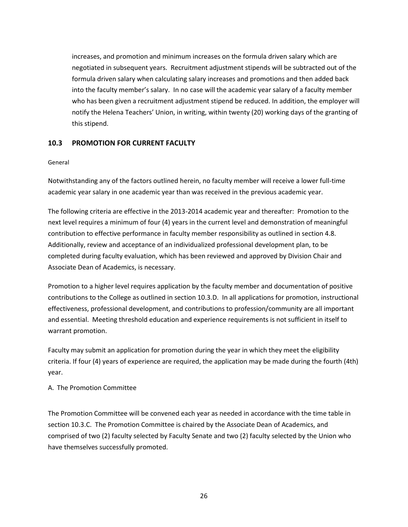increases, and promotion and minimum increases on the formula driven salary which are negotiated in subsequent years. Recruitment adjustment stipends will be subtracted out of the formula driven salary when calculating salary increases and promotions and then added back into the faculty member's salary. In no case will the academic year salary of a faculty member who has been given a recruitment adjustment stipend be reduced. In addition, the employer will notify the Helena Teachers' Union, in writing, within twenty (20) working days of the granting of this stipend.

## <span id="page-31-0"></span>**10.3 PROMOTION FOR CURRENT FACULTY**

#### General

Notwithstanding any of the factors outlined herein, no faculty member will receive a lower full-time academic year salary in one academic year than was received in the previous academic year.

The following criteria are effective in the 2013-2014 academic year and thereafter: Promotion to the next level requires a minimum of four (4) years in the current level and demonstration of meaningful contribution to effective performance in faculty member responsibility as outlined in section 4.8. Additionally, review and acceptance of an individualized professional development plan, to be completed during faculty evaluation, which has been reviewed and approved by Division Chair and Associate Dean of Academics, is necessary.

Promotion to a higher level requires application by the faculty member and documentation of positive contributions to the College as outlined in section 10.3.D. In all applications for promotion, instructional effectiveness, professional development, and contributions to profession/community are all important and essential. Meeting threshold education and experience requirements is not sufficient in itself to warrant promotion.

Faculty may submit an application for promotion during the year in which they meet the eligibility criteria. If four (4) years of experience are required, the application may be made during the fourth (4th) year.

### A. The Promotion Committee

The Promotion Committee will be convened each year as needed in accordance with the time table in section 10.3.C. The Promotion Committee is chaired by the Associate Dean of Academics, and comprised of two (2) faculty selected by Faculty Senate and two (2) faculty selected by the Union who have themselves successfully promoted.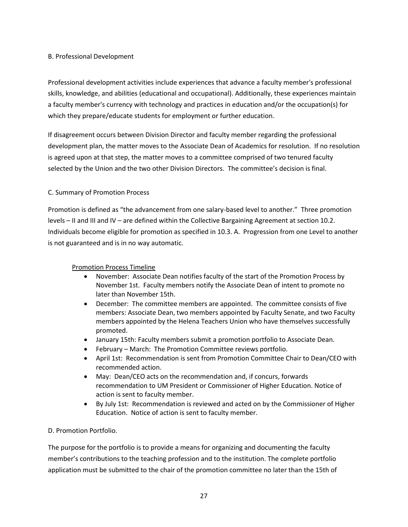## B. Professional Development

Professional development activities include experiences that advance a faculty member's professional skills, knowledge, and abilities (educational and occupational). Additionally, these experiences maintain a faculty member's currency with technology and practices in education and/or the occupation(s) for which they prepare/educate students for employment or further education.

If disagreement occurs between Division Director and faculty member regarding the professional development plan, the matter moves to the Associate Dean of Academics for resolution. If no resolution is agreed upon at that step, the matter moves to a committee comprised of two tenured faculty selected by the Union and the two other Division Directors. The committee's decision is final.

## C. Summary of Promotion Process

Promotion is defined as "the advancement from one salary-based level to another." Three promotion levels – II and III and IV – are defined within the Collective Bargaining Agreement at section 10.2. Individuals become eligible for promotion as specified in 10.3. A. Progression from one Level to another is not guaranteed and is in no way automatic.

### Promotion Process Timeline

- November: Associate Dean notifies faculty of the start of the Promotion Process by November 1st. Faculty members notify the Associate Dean of intent to promote no later than November 15th.
- December: The committee members are appointed. The committee consists of five members: Associate Dean, two members appointed by Faculty Senate, and two Faculty members appointed by the Helena Teachers Union who have themselves successfully promoted.
- January 15th: Faculty members submit a promotion portfolio to Associate Dean.
- February March: The Promotion Committee reviews portfolio.
- April 1st: Recommendation is sent from Promotion Committee Chair to Dean/CEO with recommended action.
- May: Dean/CEO acts on the recommendation and, if concurs, forwards recommendation to UM President or Commissioner of Higher Education. Notice of action is sent to faculty member.
- By July 1st: Recommendation is reviewed and acted on by the Commissioner of Higher Education. Notice of action is sent to faculty member.

### D. Promotion Portfolio.

The purpose for the portfolio is to provide a means for organizing and documenting the faculty member's contributions to the teaching profession and to the institution. The complete portfolio application must be submitted to the chair of the promotion committee no later than the 15th of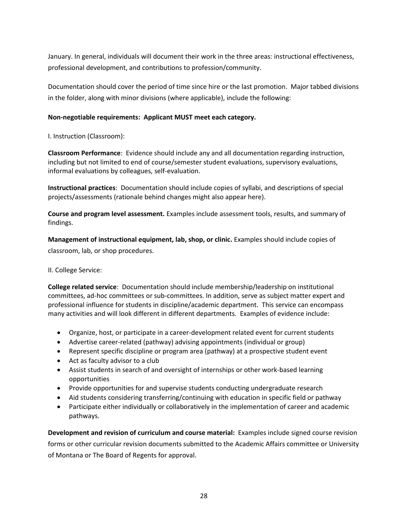January. In general, individuals will document their work in the three areas: instructional effectiveness, professional development, and contributions to profession/community.

Documentation should cover the period of time since hire or the last promotion. Major tabbed divisions in the folder, along with minor divisions (where applicable), include the following:

## **Non-negotiable requirements: Applicant MUST meet each category.**

I. Instruction (Classroom):

**Classroom Performance**: Evidence should include any and all documentation regarding instruction, including but not limited to end of course/semester student evaluations, supervisory evaluations, informal evaluations by colleagues, self-evaluation.

**Instructional practices**: Documentation should include copies of syllabi, and descriptions of special projects/assessments (rationale behind changes might also appear here).

**Course and program level assessment.** Examples include assessment tools, results, and summary of findings.

**Management of instructional equipment, lab, shop, or clinic.** Examples should include copies of classroom, lab, or shop procedures.

### II. College Service:

**College related service**: Documentation should include membership/leadership on institutional committees, ad-hoc committees or sub-committees. In addition, serve as subject matter expert and professional influence for students in discipline/academic department. This service can encompass many activities and will look different in different departments. Examples of evidence include:

- Organize, host, or participate in a career-development related event for current students
- Advertise career-related (pathway) advising appointments (individual or group)
- Represent specific discipline or program area (pathway) at a prospective student event
- Act as faculty advisor to a club
- Assist students in search of and oversight of internships or other work-based learning opportunities
- Provide opportunities for and supervise students conducting undergraduate research
- Aid students considering transferring/continuing with education in specific field or pathway
- Participate either individually or collaboratively in the implementation of career and academic pathways.

**Development and revision of curriculum and course material:** Examples include signed course revision forms or other curricular revision documents submitted to the Academic Affairs committee or University of Montana or The Board of Regents for approval.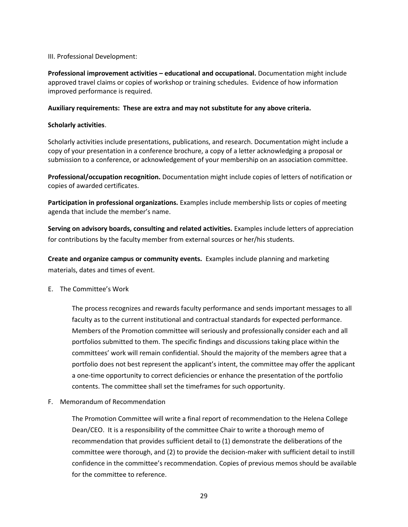### III. Professional Development:

**Professional improvement activities – educational and occupational.** Documentation might include approved travel claims or copies of workshop or training schedules. Evidence of how information improved performance is required.

### **Auxiliary requirements: These are extra and may not substitute for any above criteria.**

### **Scholarly activities**.

Scholarly activities include presentations, publications, and research. Documentation might include a copy of your presentation in a conference brochure, a copy of a letter acknowledging a proposal or submission to a conference, or acknowledgement of your membership on an association committee.

**Professional/occupation recognition.** Documentation might include copies of letters of notification or copies of awarded certificates.

**Participation in professional organizations.** Examples include membership lists or copies of meeting agenda that include the member's name.

**Serving on advisory boards, consulting and related activities.** Examples include letters of appreciation for contributions by the faculty member from external sources or her/his students.

**Create and organize campus or community events.** Examples include planning and marketing materials, dates and times of event.

E. The Committee's Work

The process recognizes and rewards faculty performance and sends important messages to all faculty as to the current institutional and contractual standards for expected performance. Members of the Promotion committee will seriously and professionally consider each and all portfolios submitted to them. The specific findings and discussions taking place within the committees' work will remain confidential. Should the majority of the members agree that a portfolio does not best represent the applicant's intent, the committee may offer the applicant a one-time opportunity to correct deficiencies or enhance the presentation of the portfolio contents. The committee shall set the timeframes for such opportunity.

F. Memorandum of Recommendation

The Promotion Committee will write a final report of recommendation to the Helena College Dean/CEO. It is a responsibility of the committee Chair to write a thorough memo of recommendation that provides sufficient detail to (1) demonstrate the deliberations of the committee were thorough, and (2) to provide the decision-maker with sufficient detail to instill confidence in the committee's recommendation. Copies of previous memos should be available for the committee to reference.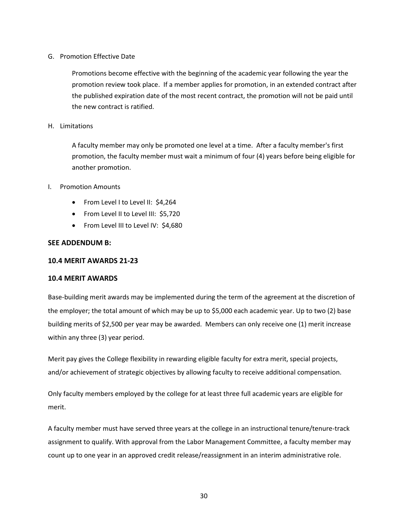### G. Promotion Effective Date

Promotions become effective with the beginning of the academic year following the year the promotion review took place. If a member applies for promotion, in an extended contract after the published expiration date of the most recent contract, the promotion will not be paid until the new contract is ratified.

### H. Limitations

A faculty member may only be promoted one level at a time. After a faculty member's first promotion, the faculty member must wait a minimum of four (4) years before being eligible for another promotion.

### I. Promotion Amounts

- From Level I to Level II: \$4,264
- From Level II to Level III: \$5,720
- From Level III to Level IV: \$4,680

## **SEE ADDENDUM B:**

### **10.4 MERIT AWARDS 21-23**

### **10.4 MERIT AWARDS**

<span id="page-35-0"></span>Base-building merit awards may be implemented during the term of the agreement at the discretion of the employer; the total amount of which may be up to \$5,000 each academic year. Up to two (2) base building merits of \$2,500 per year may be awarded. Members can only receive one (1) merit increase within any three (3) year period.

Merit pay gives the College flexibility in rewarding eligible faculty for extra merit, special projects, and/or achievement of strategic objectives by allowing faculty to receive additional compensation.

Only faculty members employed by the college for at least three full academic years are eligible for merit.

A faculty member must have served three years at the college in an instructional tenure/tenure-track assignment to qualify. With approval from the Labor Management Committee, a faculty member may count up to one year in an approved credit release/reassignment in an interim administrative role.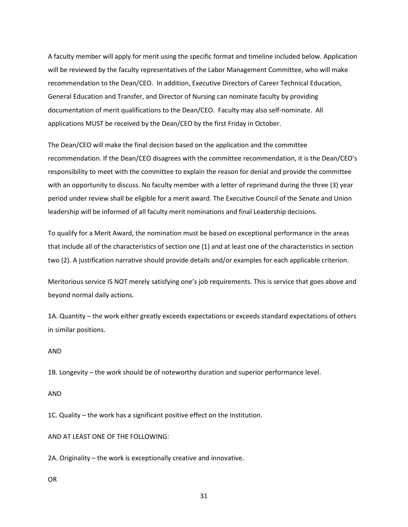A faculty member will apply for merit using the specific format and timeline included below. Application will be reviewed by the faculty representatives of the Labor Management Committee, who will make recommendation to the Dean/CEO. In addition, Executive Directors of Career Technical Education, General Education and Transfer, and Director of Nursing can nominate faculty by providing documentation of merit qualifications to the Dean/CEO. Faculty may also self-nominate. All applications MUST be received by the Dean/CEO by the first Friday in October.

The Dean/CEO will make the final decision based on the application and the committee recommendation. If the Dean/CEO disagrees with the committee recommendation, it is the Dean/CEO's responsibility to meet with the committee to explain the reason for denial and provide the committee with an opportunity to discuss. No faculty member with a letter of reprimand during the three (3) year period under review shall be eligible for a merit award. The Executive Council of the Senate and Union leadership will be informed of all faculty merit nominations and final Leadership decisions.

To qualify for a Merit Award, the nomination must be based on exceptional performance in the areas that include all of the characteristics of section one (1) and at least one of the characteristics in section two (2). A justification narrative should provide details and/or examples for each applicable criterion.

Meritorious service IS NOT merely satisfying one's job requirements. This is service that goes above and beyond normal daily actions.

1A. Quantity – the work either greatly exceeds expectations or exceeds standard expectations of others in similar positions.

#### AND

1B. Longevity – the work should be of noteworthy duration and superior performance level.

#### AND

1C. Quality – the work has a significant positive effect on the Institution.

AND AT LEAST ONE OF THE FOLLOWING:

2A. Originality – the work is exceptionally creative and innovative.

OR

31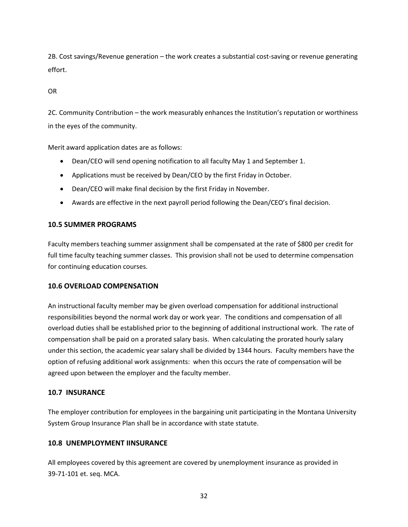2B. Cost savings/Revenue generation – the work creates a substantial cost-saving or revenue generating effort.

OR

2C. Community Contribution – the work measurably enhances the Institution's reputation or worthiness in the eyes of the community.

Merit award application dates are as follows:

- Dean/CEO will send opening notification to all faculty May 1 and September 1.
- Applications must be received by Dean/CEO by the first Friday in October.
- Dean/CEO will make final decision by the first Friday in November.
- Awards are effective in the next payroll period following the Dean/CEO's final decision.

### **10.5 SUMMER PROGRAMS**

Faculty members teaching summer assignment shall be compensated at the rate of \$800 per credit for full time faculty teaching summer classes. This provision shall not be used to determine compensation for continuing education courses.

### <span id="page-37-0"></span>**10.6 OVERLOAD COMPENSATION**

An instructional faculty member may be given overload compensation for additional instructional responsibilities beyond the normal work day or work year. The conditions and compensation of all overload duties shall be established prior to the beginning of additional instructional work. The rate of compensation shall be paid on a prorated salary basis. When calculating the prorated hourly salary under this section, the academic year salary shall be divided by 1344 hours. Faculty members have the option of refusing additional work assignments: when this occurs the rate of compensation will be agreed upon between the employer and the faculty member.

### <span id="page-37-1"></span>**10.7 INSURANCE**

The employer contribution for employees in the bargaining unit participating in the Montana University System Group Insurance Plan shall be in accordance with state statute.

### <span id="page-37-2"></span>**10.8 UNEMPLOYMENT IINSURANCE**

All employees covered by this agreement are covered by unemployment insurance as provided in 39-71-101 et. seq. MCA.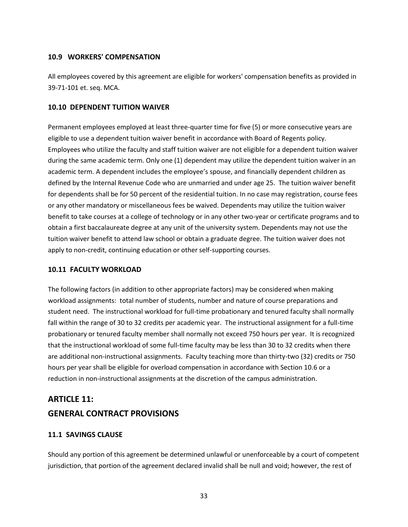### <span id="page-38-0"></span>**10.9 WORKERS' COMPENSATION**

All employees covered by this agreement are eligible for workers' compensation benefits as provided in 39-71-101 et. seq. MCA.

### <span id="page-38-1"></span>**10.10 DEPENDENT TUITION WAIVER**

Permanent employees employed at least three-quarter time for five (5) or more consecutive years are eligible to use a dependent tuition waiver benefit in accordance with Board of Regents policy. Employees who utilize the faculty and staff tuition waiver are not eligible for a dependent tuition waiver during the same academic term. Only one (1) dependent may utilize the dependent tuition waiver in an academic term. A dependent includes the employee's spouse, and financially dependent children as defined by the Internal Revenue Code who are unmarried and under age 25. The tuition waiver benefit for dependents shall be for 50 percent of the residential tuition. In no case may registration, course fees or any other mandatory or miscellaneous fees be waived. Dependents may utilize the tuition waiver benefit to take courses at a college of technology or in any other two-year or certificate programs and to obtain a first baccalaureate degree at any unit of the university system. Dependents may not use the tuition waiver benefit to attend law school or obtain a graduate degree. The tuition waiver does not apply to non-credit, continuing education or other self-supporting courses.

## <span id="page-38-2"></span>**10.11 FACULTY WORKLOAD**

The following factors (in addition to other appropriate factors) may be considered when making workload assignments: total number of students, number and nature of course preparations and student need. The instructional workload for full-time probationary and tenured faculty shall normally fall within the range of 30 to 32 credits per academic year. The instructional assignment for a full-time probationary or tenured faculty member shall normally not exceed 750 hours per year. It is recognized that the instructional workload of some full-time faculty may be less than 30 to 32 credits when there are additional non-instructional assignments. Faculty teaching more than thirty-two (32) credits or 750 hours per year shall be eligible for overload compensation in accordance with Section 10.6 or a reduction in non-instructional assignments at the discretion of the campus administration.

# <span id="page-38-3"></span>**ARTICLE 11: GENERAL CONTRACT PROVISIONS**

## <span id="page-38-4"></span>**11.1 SAVINGS CLAUSE**

Should any portion of this agreement be determined unlawful or unenforceable by a court of competent jurisdiction, that portion of the agreement declared invalid shall be null and void; however, the rest of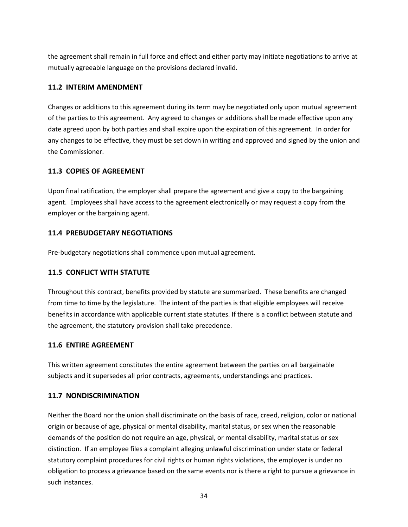the agreement shall remain in full force and effect and either party may initiate negotiations to arrive at mutually agreeable language on the provisions declared invalid.

## <span id="page-39-0"></span>**11.2 INTERIM AMENDMENT**

Changes or additions to this agreement during its term may be negotiated only upon mutual agreement of the parties to this agreement. Any agreed to changes or additions shall be made effective upon any date agreed upon by both parties and shall expire upon the expiration of this agreement. In order for any changes to be effective, they must be set down in writing and approved and signed by the union and the Commissioner.

## <span id="page-39-1"></span>**11.3 COPIES OF AGREEMENT**

Upon final ratification, the employer shall prepare the agreement and give a copy to the bargaining agent. Employees shall have access to the agreement electronically or may request a copy from the employer or the bargaining agent.

## <span id="page-39-2"></span>**11.4 PREBUDGETARY NEGOTIATIONS**

Pre-budgetary negotiations shall commence upon mutual agreement.

## <span id="page-39-3"></span>**11.5 CONFLICT WITH STATUTE**

Throughout this contract, benefits provided by statute are summarized. These benefits are changed from time to time by the legislature. The intent of the parties is that eligible employees will receive benefits in accordance with applicable current state statutes. If there is a conflict between statute and the agreement, the statutory provision shall take precedence.

## <span id="page-39-4"></span>**11.6 ENTIRE AGREEMENT**

This written agreement constitutes the entire agreement between the parties on all bargainable subjects and it supersedes all prior contracts, agreements, understandings and practices.

## <span id="page-39-5"></span>**11.7 NONDISCRIMINATION**

Neither the Board nor the union shall discriminate on the basis of race, creed, religion, color or national origin or because of age, physical or mental disability, marital status, or sex when the reasonable demands of the position do not require an age, physical, or mental disability, marital status or sex distinction. If an employee files a complaint alleging unlawful discrimination under state or federal statutory complaint procedures for civil rights or human rights violations, the employer is under no obligation to process a grievance based on the same events nor is there a right to pursue a grievance in such instances.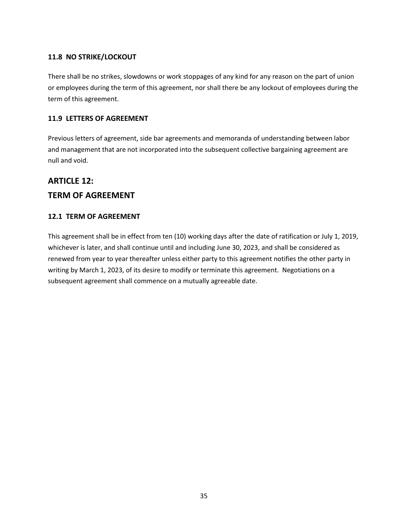## <span id="page-40-0"></span>**11.8 NO STRIKE/LOCKOUT**

There shall be no strikes, slowdowns or work stoppages of any kind for any reason on the part of union or employees during the term of this agreement, nor shall there be any lockout of employees during the term of this agreement.

## <span id="page-40-1"></span>**11.9 LETTERS OF AGREEMENT**

Previous letters of agreement, side bar agreements and memoranda of understanding between labor and management that are not incorporated into the subsequent collective bargaining agreement are null and void.

# <span id="page-40-2"></span>**ARTICLE 12: TERM OF AGREEMENT**

## <span id="page-40-3"></span>**12.1 TERM OF AGREEMENT**

This agreement shall be in effect from ten (10) working days after the date of ratification or July 1, 2019, whichever is later, and shall continue until and including June 30, 2023, and shall be considered as renewed from year to year thereafter unless either party to this agreement notifies the other party in writing by March 1, 2023, of its desire to modify or terminate this agreement. Negotiations on a subsequent agreement shall commence on a mutually agreeable date.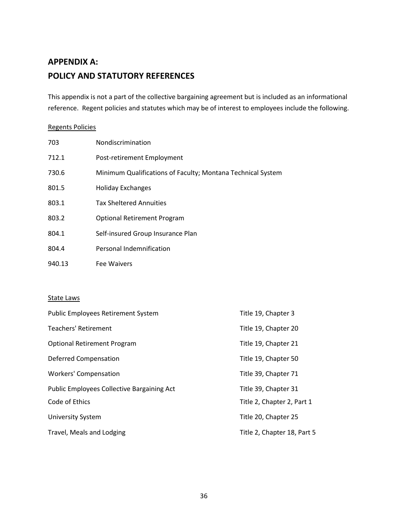# <span id="page-41-0"></span>**APPENDIX A: POLICY AND STATUTORY REFERENCES**

This appendix is not a part of the collective bargaining agreement but is included as an informational reference. Regent policies and statutes which may be of interest to employees include the following.

#### Regents Policies

| 703    | Nondiscrimination                                           |
|--------|-------------------------------------------------------------|
| 712.1  | Post-retirement Employment                                  |
| 730.6  | Minimum Qualifications of Faculty; Montana Technical System |
| 801.5  | Holiday Exchanges                                           |
| 803.1  | <b>Tax Sheltered Annuities</b>                              |
| 803.2  | <b>Optional Retirement Program</b>                          |
| 804.1  | Self-insured Group Insurance Plan                           |
| 804.4  | Personal Indemnification                                    |
| 940.13 | Fee Waivers                                                 |

### State Laws

| <b>Public Employees Retirement System</b>         | Title 19, Chapter 3         |
|---------------------------------------------------|-----------------------------|
| Teachers' Retirement                              | Title 19, Chapter 20        |
| <b>Optional Retirement Program</b>                | Title 19, Chapter 21        |
| Deferred Compensation                             | Title 19, Chapter 50        |
| <b>Workers' Compensation</b>                      | Title 39, Chapter 71        |
| <b>Public Employees Collective Bargaining Act</b> | Title 39, Chapter 31        |
| Code of Ethics                                    | Title 2, Chapter 2, Part 1  |
| <b>University System</b>                          | Title 20, Chapter 25        |
| Travel, Meals and Lodging                         | Title 2, Chapter 18, Part 5 |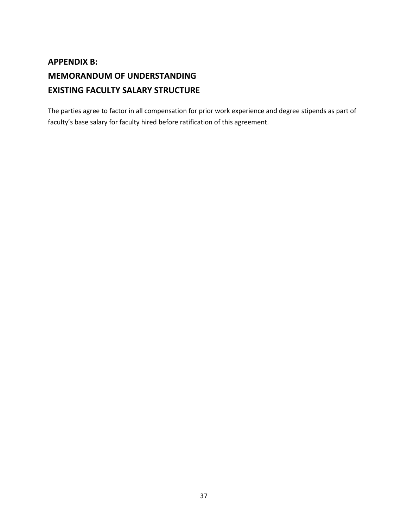# <span id="page-42-0"></span>**APPENDIX B: MEMORANDUM OF UNDERSTANDING EXISTING FACULTY SALARY STRUCTURE**

The parties agree to factor in all compensation for prior work experience and degree stipends as part of faculty's base salary for faculty hired before ratification of this agreement.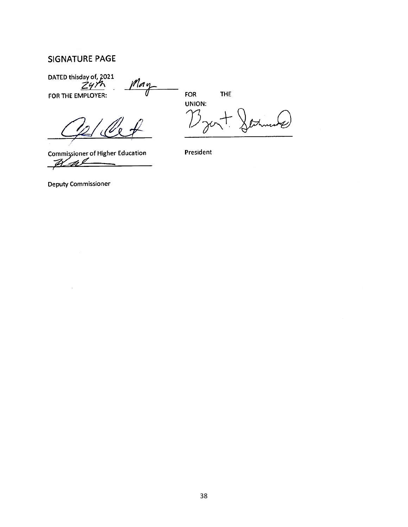## <span id="page-43-0"></span>**SIGNATURE PAGE**

DATED this day of, 2021<br>2412 Ma

FOR THE EMPLOYER:

**FOR** 

**THE** 

UNION:

 $\frac{f}{f}$  for  $\frac{f}{f}$  for  $\frac{f}{f}$  for  $\frac{f}{f}$  for  $\frac{f}{f}$  for  $\frac{f}{f}$ 

**Commissioner of Higher Education** Kal

 $\mathcal{L}=\mathcal{L}=\mathcal{L}=\mathcal{L}=\mathcal{L}=\mathcal{L}=\mathcal{L}=\mathcal{L}=\mathcal{L}=\mathcal{L}=\mathcal{L}=\mathcal{L}=\mathcal{L}=\mathcal{L}=\mathcal{L}=\mathcal{L}=\mathcal{L}=\mathcal{L}=\mathcal{L}=\mathcal{L}=\mathcal{L}=\mathcal{L}=\mathcal{L}=\mathcal{L}=\mathcal{L}=\mathcal{L}=\mathcal{L}=\mathcal{L}=\mathcal{L}=\mathcal{L}=\mathcal{L}=\mathcal{L}=\mathcal{L}=\mathcal{L}=\mathcal{L}=\mathcal{L}=\mathcal{$ 

President

**Deputy Commissioner**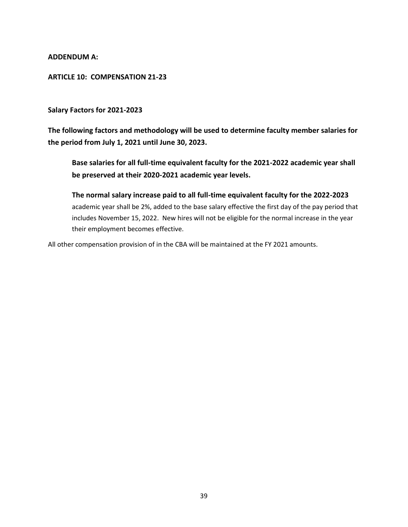**ADDENDUM A:** 

## **ARTICLE 10: COMPENSATION 21-23**

### **Salary Factors for 2021-2023**

**The following factors and methodology will be used to determine faculty member salaries for the period from July 1, 2021 until June 30, 2023.**

**Base salaries for all full-time equivalent faculty for the 2021-2022 academic year shall be preserved at their 2020-2021 academic year levels.**

**The normal salary increase paid to all full-time equivalent faculty for the 2022-2023**  academic year shall be 2%, added to the base salary effective the first day of the pay period that includes November 15, 2022. New hires will not be eligible for the normal increase in the year their employment becomes effective.

All other compensation provision of in the CBA will be maintained at the FY 2021 amounts.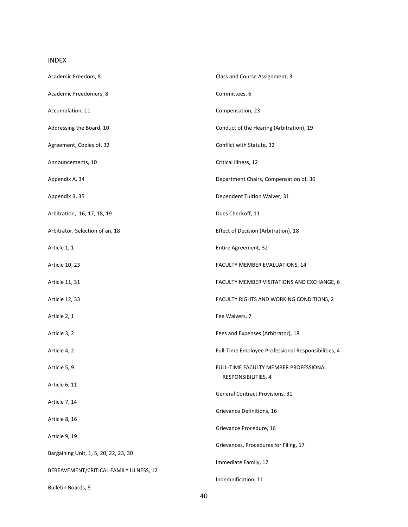## INDEX

| Academic Freedom, 8                     | Class and Course Assignment, 3                      |  |
|-----------------------------------------|-----------------------------------------------------|--|
| Academic Freedomers, 8                  | Committees, 6                                       |  |
| Accumulation, 11                        | Compensation, 23                                    |  |
| Addressing the Board, 10                | Conduct of the Hearing (Arbitration), 19            |  |
| Agreement, Copies of, 32                | Conflict with Statute, 32                           |  |
| Announcements, 10                       | Critical Illness, 12                                |  |
| Appendix A, 34                          | Department Chairs, Compensation of, 30              |  |
| Appendix B, 35                          | Dependent Tuition Waiver, 31                        |  |
| Arbitration, 16, 17, 18, 19             | Dues Checkoff, 11                                   |  |
| Arbitrator, Selection of an, 18         | Effect of Decision (Arbitration), 18                |  |
| Article 1, 1                            | Entire Agreement, 32                                |  |
| Article 10, 23                          | FACULTY MEMBER EVALUATIONS, 14                      |  |
| Article 11, 31                          | FACULTY MEMBER VISITATIONS AND EXCHANGE, 6          |  |
| Article 12, 33                          | FACULTY RIGHTS AND WORKING CONDITIONS, 2            |  |
| Article 2, 1                            | Fee Waivers, 7                                      |  |
| Article 3, 2                            | Fees and Expenses (Arbitrator), 18                  |  |
| Article 4, 2                            | Full-Time Employee Professional Responsibilities, 4 |  |
| Article 5, 9                            | FULL-TIME FACULTY MEMBER PROFESSIONAL               |  |
| Article 6, 11                           | RESPONSIBILITIES, 4                                 |  |
| Article 7, 14                           | General Contract Provisions, 31                     |  |
| Article 8, 16                           | Grievance Definitions, 16                           |  |
| Article 9, 19                           | Grievance Procedure, 16                             |  |
| Bargaining Unit, 1, 5, 20, 22, 23, 30   | Grievances, Procedures for Filing, 17               |  |
| BEREAVEMENT/CRITICAL FAMILY ILLNESS, 12 | Immediate Family, 12                                |  |
| Bulletin Boards, 9                      | Indemnification, 11                                 |  |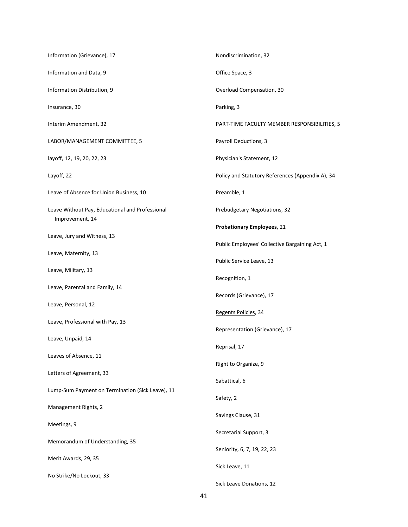| Information (Grievance), 17                                        | Nondiscrimination, 32                            |  |
|--------------------------------------------------------------------|--------------------------------------------------|--|
| Information and Data, 9                                            | Office Space, 3                                  |  |
| Information Distribution, 9                                        | Overload Compensation, 30                        |  |
| Insurance, 30                                                      | Parking, 3                                       |  |
| Interim Amendment, 32                                              | PART-TIME FACULTY MEMBER RESPONSIBILITIES, 5     |  |
| LABOR/MANAGEMENT COMMITTEE, 5                                      | Payroll Deductions, 3                            |  |
| layoff, 12, 19, 20, 22, 23                                         | Physician's Statement, 12                        |  |
| Layoff, 22                                                         | Policy and Statutory References (Appendix A), 34 |  |
| Leave of Absence for Union Business, 10                            | Preamble, 1                                      |  |
| Leave Without Pay, Educational and Professional<br>Improvement, 14 | Prebudgetary Negotiations, 32                    |  |
|                                                                    | <b>Probationary Employees, 21</b>                |  |
| Leave, Jury and Witness, 13                                        | Public Employees' Collective Bargaining Act, 1   |  |
| Leave, Maternity, 13                                               | Public Service Leave, 13                         |  |
| Leave, Military, 13                                                | Recognition, 1                                   |  |
| Leave, Parental and Family, 14                                     |                                                  |  |
| Leave, Personal, 12                                                | Records (Grievance), 17                          |  |
| Leave, Professional with Pay, 13                                   | Regents Policies, 34                             |  |
|                                                                    | Representation (Grievance), 17                   |  |
| Leave, Unpaid, 14                                                  | Reprisal, 17                                     |  |
| Leaves of Absence, 11                                              | Right to Organize, 9                             |  |
| Letters of Agreement, 33                                           | Sabattical, 6                                    |  |
| Lump-Sum Payment on Termination (Sick Leave), 11                   |                                                  |  |
| Management Rights, 2                                               | Safety, 2                                        |  |
| Meetings, 9                                                        | Savings Clause, 31                               |  |
| Memorandum of Understanding, 35                                    | Secretarial Support, 3                           |  |
|                                                                    | Seniority, 6, 7, 19, 22, 23                      |  |
| Merit Awards, 29, 35                                               | Sick Leave, 11                                   |  |
| No Strike/No Lockout, 33                                           | Sick Leave Donations, 12                         |  |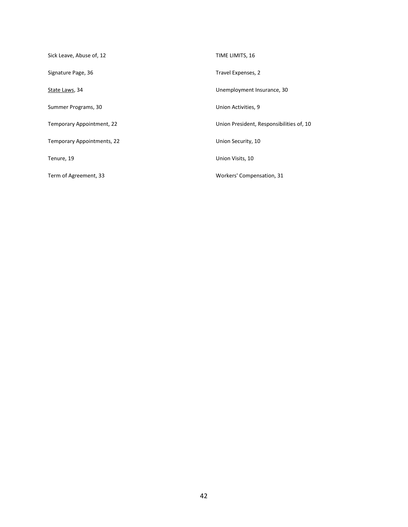| Sick Leave, Abuse of, 12   | TIME LIMITS, 16                          |
|----------------------------|------------------------------------------|
| Signature Page, 36         | Travel Expenses, 2                       |
| State Laws, 34             | Unemployment Insurance, 30               |
| Summer Programs, 30        | Union Activities, 9                      |
| Temporary Appointment, 22  | Union President, Responsibilities of, 10 |
| Temporary Appointments, 22 | Union Security, 10                       |
| Tenure, 19                 | Union Visits, 10                         |
| Term of Agreement, 33      | Workers' Compensation, 31                |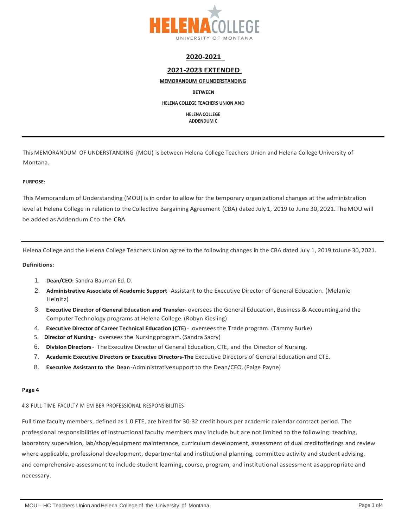

#### **2020-2021**

#### **2021-2023 EXTENDED**

#### **MEMORANDUM OF UNDERSTANDING**

**BETWEEN**

**HELENA COLLEGE TEACHERS UNION AND**

**HELENA COLLEGE ADDENDUM C**

This MEMORANDUM OF UNDERSTANDING (MOU) is between Helena College Teachers Union and Helena College University of Montana.

#### **PURPOSE:**

This Memorandum of Understanding (MOU) is in order to allow for the temporary organizational changes at the administration level at Helena College in relation to the Collective Bargaining Agreement (CBA) dated July 1, 2019 to June 30, 2021.TheMOU will be added as Addendum Cto the CBA.

Helena College and the Helena College Teachers Union agree to the following changes in the CBA dated July 1, 2019 toJune 30, 2021.

#### **Definitions:**

- 1. **Dean/CEO:** Sandra Bauman Ed. D.
- 2. **Administrative Associate of Academic Support** -Assistant to the Executive Director of General Education. (Melanie Heinitz)
- 3. **Executive Director of General Education and Transfer-** oversees the General Education, Business & Accounting,and the Computer Technology programs at Helena College. (Robyn Kiesling)
- 4. **Executive Director of Career Technical Education (CTE)** overseesthe Trade program. (Tammy Burke)
- 5. **Director of Nursing** oversees the Nursingprogram.(Sandra Sacry)
- 6. **Division Directors** The Executive Director of General Education, CTE, and the Director of Nursing.
- 7. **Academic Executive Directors or Executive Directors-The** Executive Directors of General Education and CTE.
- 8. **Executive Assistantto the Dean**-Administrativesupport to the Dean/CEO. (Paige Payne)

#### **Page 4**

4.8 FULL-TIME FACULTY M EM BER PROFESSIONAL RESPONSIBILITIES

Full time faculty members, defined as 1.0 FTE, are hired for 30-32 credit hours per academic calendar contract period. The professional responsibilities of instructional faculty members may include but are not limited to the following: teaching, laboratory supervision, lab/shop/equipment maintenance, curriculum development, assessment of dual creditofferings and review where applicable, professional development, departmental and institutional planning, committee activity and student advising, and comprehensive assessment to include student learning, course, program, and institutional assessment asappropriate and necessary.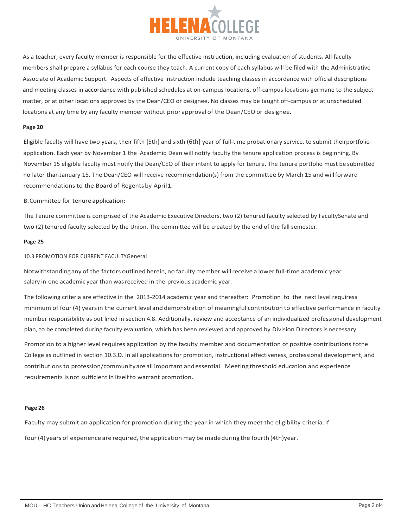

As a teacher, every faculty member is responsible for the effective instruction, including evaluation of students. All faculty members shall prepare a syllabus for each course they teach. A current copy of each syllabus will be filed with the Administrative Associate of Academic Support. Aspects of effective instruction include teaching classes in accordance with official descriptions and meeting classes in accordance with published schedules at on-campus locations, off-campus locations germane to the subject matter, or at other locations approved by the Dean/CEO or designee. No classes may be taught off-campus or at unscheduled locations at any time by any faculty member without prior approval of the Dean/CEO or designee.

#### **Page 20**

Eligible faculty will have two years, their fifth {5th} and sixth (6th} year of full-time probationary service, to submit theirportfolio application. Each year by November 1 the Academic Dean will notify faculty the tenure application process is beginning. By November 15 eligible faculty must notify the Dean/CEO of their intent to apply for tenure. The tenure portfolio must be submitted no later thanJanuary 15. The Dean/CEO will receive recommendation(s) from the committee by March 15 andwillforward recommendations to the Board of Regents by April1.

B.Committee for tenure application:

The Tenure committee is comprised of the Academic Executive Directors, two (2) tenured faculty selected by FacultySenate and two (2} tenured faculty selected by the Union. The committee will be created by the end of the fall semester.

#### **Page 25**

#### 10.3 PROMOTION FOR CURRENT FACULTYGeneral

Notwithstandingany of the factors outlined herein, no faculty member willreceive a lower full-time academic year salary in one academic year than wasreceived in the previous academic year.

The following criteria are effective in the 2013-2014 academic year and thereafter: Promotion to the next level requiresa minimum of four (4} yearsin the current leveland demonstration of meaningful contribution to effective performance in faculty member responsibility as out lined in section 4.8. Additionally, review and acceptance of an individualized professional development plan, to be completed during faculty evaluation, which has been reviewed and approved by Division Directors isnecessary.

Promotion to a higher level requires application by the faculty member and documentation of positive contributions tothe College as outlined in section 10.3.D. In all applications for promotion, instructional effectiveness, professional development, and contributions to profession/communityare all important andessential. Meeting threshold education and experience requirements is not sufficient in itselfto warrant promotion.

#### **Page 26**

Faculty may submit an application for promotion during the year in which they meet the eligibility criteria. If four (4)years of experience are required, the application may be madeduring the fourth (4th)year.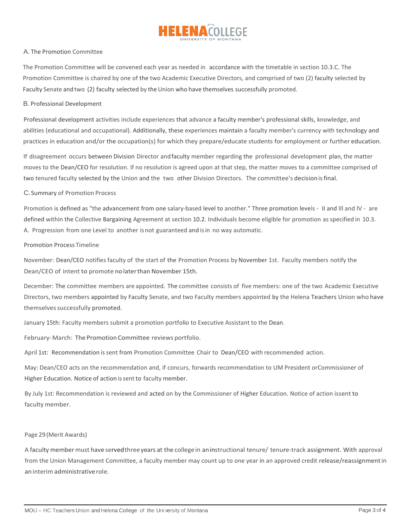

#### A. The Promotion Committee

The Promotion Committee will be convened each year as needed in accordance with the timetable in section 10.3.C. The Promotion Committee is chaired by one of the two Academic Executive Directors, and comprised of two (2) faculty selected by Faculty Senate and two (2) faculty selected by the Union who have themselves successfully promoted.

#### B. Professional Development

Professional development activities include experiences that advance a faculty member's professional skills, knowledge, and abilities (educational and occupational). Additionally, these experiences maintain a faculty member's currency with technology and practices in education and/or the occupation(s) for which they prepare/educate students for employment or further education.

If disagreement occurs between Division Director andfaculty member regarding the professional development plan, the matter moves to the Dean/CEO for resolution. If no resolution is agreed upon at that step, the matter moves to a committee comprised of two tenured faculty selected by the Union and the two other Division Directors. The committee's decisionisfinal.

#### C.Summary of Promotion Process

Promotion is defined as "the advancement from one salary-based level to another." Three promotion levels - II and III and IV - are defined within the Collective Bargaining Agreement at section 10.2. Individuals become eligible for promotion as specified in 10.3. A. Progression from one Level to another isnot guaranteed and isin no way automatic.

#### Promotion Process Timeline

November: Dean/CEO notifies faculty of the start of the Promotion Process by November 1st. Faculty members notify the Dean/CEO of intent to promote no laterthan November 15th.

December: The committee members are appointed. The committee consists of five members: one of the two Academic Executive Directors, two members appointed by Faculty Senate, and two Faculty members appointed by the Helena Teachers Union who have themselves successfully promoted.

January 15th: Faculty members submit a promotion portfolio to Executive Assistant to the Dean.

February-March: The Promotion Committee reviews portfolio.

April 1st: Recommendation issent from Promotion Committee Chair to Dean/CEO with recommended action.

May: Dean/CEO acts on the recommendation and, if concurs, forwards recommendation to UM President orCommissioner of Higher Education. Notice of action is sent to faculty member.

By July 1st: Recommendation is reviewed and acted on by the Commissioner of Higher Education. Notice of action issent to faculty member.

#### Page 29 (Merit Awards)

A faculty member must have servedthree years at the college in aninstructional tenure/ tenure-track assignment. With approval from the Union Management Committee, a faculty member may count up to one year in an approved credit release/reassignmentin aninterim administrativerole.